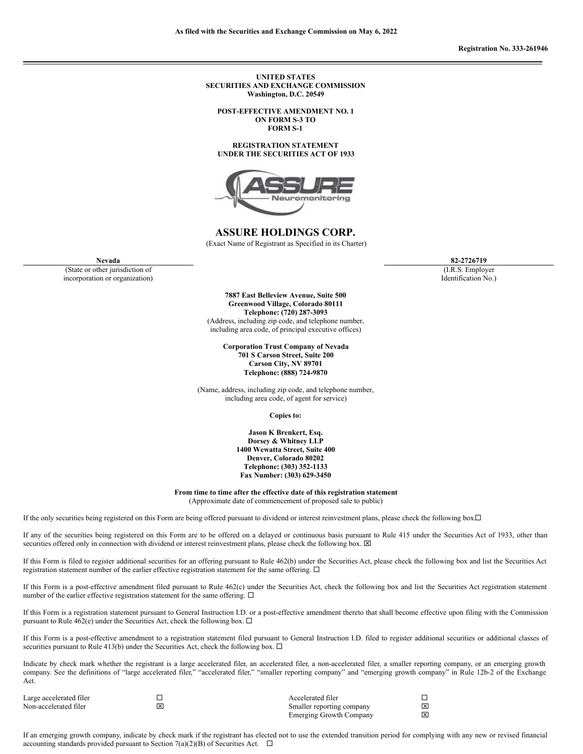### **UNITED STATES SECURITIES AND EXCHANGE COMMISSION Washington, D.C. 20549**

**POST-EFFECTIVE AMENDMENT NO. 1 ON FORM S-3 TO FORM S-1**

**REGISTRATION STATEMENT UNDER THE SECURITIES ACT OF 1933**



**ASSURE HOLDINGS CORP.**

(Exact Name of Registrant as Specified in its Charter)

(State or other jurisdiction of incorporation or organization)

**Nevada 82-2726719**

(I.R.S. Employer Identification No.)

**7887 East Belleview Avenue, Suite 500 Greenwood Village, Colorado 80111 Telephone: (720) 287-3093** (Address, including zip code, and telephone number, including area code, of principal executive offices)

> **Corporation Trust Company of Nevada 701 S Carson Street, Suite 200 Carson City, NV 89701 Telephone: (888) 724-9870**

(Name, address, including zip code, and telephone number, including area code, of agent for service)

**Copies to:**

**Jason K Brenkert, Esq. Dorsey & Whitney LLP 1400 Wewatta Street, Suite 400 Denver, Colorado 80202 Telephone: (303) 352-1133 Fax Number: (303) 629-3450**

**From time to time after the effective date of this registration statement** (Approximate date of commencement of proposed sale to public)

If the only securities being registered on this Form are being offered pursuant to dividend or interest reinvestment plans, please check the following box. $\Box$ 

If any of the securities being registered on this Form are to be offered on a delayed or continuous basis pursuant to Rule 415 under the Securities Act of 1933, other than securities offered only in connection with dividend or interest reinvestment plans, please check the following box.  $\boxtimes$ 

If this Form is filed to register additional securities for an offering pursuant to Rule 462(b) under the Securities Act, please check the following box and list the Securities Act registration statement number of the earlier effective registration statement for the same offering.  $\Box$ 

If this Form is a post-effective amendment filed pursuant to Rule 462(c) under the Securities Act, check the following box and list the Securities Act registration statement number of the earlier effective registration statement for the same offering.  $\Box$ 

If this Form is a registration statement pursuant to General Instruction I.D. or a post-effective amendment thereto that shall become effective upon filing with the Commission pursuant to Rule 462(e) under the Securities Act, check the following box.  $\Box$ 

If this Form is a post-effective amendment to a registration statement filed pursuant to General Instruction I.D. filed to register additional securities or additional classes of securities pursuant to Rule 413(b) under the Securities Act, check the following box.  $\Box$ 

Indicate by check mark whether the registrant is a large accelerated filer, an accelerated filer, a non-accelerated filer, a smaller reporting company, or an emerging growth company. See the definitions of "large accelerated filer," "accelerated filer," "smaller reporting company" and "emerging growth company" in Rule 12b-2 of the Exchange Act.

| Large accelerated filer |   | Accelerated filer         |   |
|-------------------------|---|---------------------------|---|
| Non-accelerated filer   | × | Smaller reporting company | ⊠ |
|                         |   | Emerging Growth Company   | ⊠ |

If an emerging growth company, indicate by check mark if the registrant has elected not to use the extended transition period for complying with any new or revised financial accounting standards provided pursuant to Section 7(a)(2)(B) of Securities Act.  $\Box$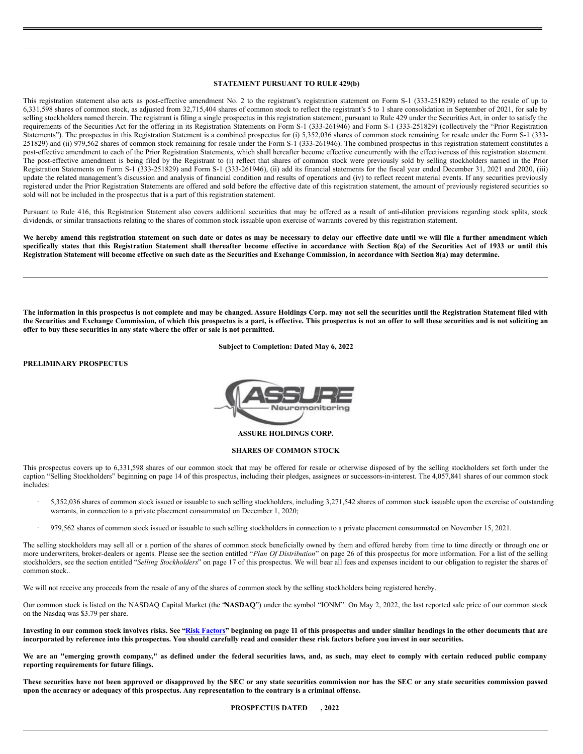## **STATEMENT PURSUANT TO RULE 429(b)**

This registration statement also acts as post-effective amendment No. 2 to the registrant's registration statement on Form S-1 (333-251829) related to the resale of up to 6,331,598 shares of common stock, as adjusted from 32,715,404 shares of common stock to reflect the registrant's 5 to 1 share consolidation in September of 2021, for sale by selling stockholders named therein. The registrant is filing a single prospectus in this registration statement, pursuant to Rule 429 under the Securities Act, in order to satisfy the requirements of the Securities Act for the offering in its Registration Statements on Form S-1 (333-261946) and Form S-1 (333-251829) (collectively the "Prior Registration Statements"). The prospectus in this Registration Statement is a combined prospectus for (i) 5,352,036 shares of common stock remaining for resale under the Form S-1 (333-251829) and (ii) 979,562 shares of common stock remaining for resale under the Form S-1 (333-261946). The combined prospectus in this registration statement constitutes a post-effective amendment to each of the Prior Registration Statements, which shall hereafter become effective concurrently with the effectiveness of this registration statement. The post-effective amendment is being filed by the Registrant to (i) reflect that shares of common stock were previously sold by selling stockholders named in the Prior Registration Statements on Form S-1 (333-251829) and Form S-1 (333-261946), (ii) add its financial statements for the fiscal year ended December 31, 2021 and 2020, (iii) update the related management's discussion and analysis of financial condition and results of operations and (iv) to reflect recent material events. If any securities previously registered under the Prior Registration Statements are offered and sold before the effective date of this registration statement, the amount of previously registered securities so sold will not be included in the prospectus that is a part of this registration statement.

Pursuant to Rule 416, this Registration Statement also covers additional securities that may be offered as a result of anti-dilution provisions regarding stock splits, stock dividends, or similar transactions relating to the shares of common stock issuable upon exercise of warrants covered by this registration statement.

We hereby amend this registration statement on such date or dates as may be necessary to delay our effective date until we will file a further amendment which specifically states that this Registration Statement shall thereafter become effective in accordance with Section 8(a) of the Securities Act of 1933 or until this Registration Statement will become effective on such date as the Securities and Exchange Commission, in accordance with Section 8(a) may determine.

The information in this prospectus is not complete and may be changed. Assure Holdings Corp. may not sell the securities until the Registration Statement filed with the Securities and Exchange Commission, of which this prospectus is a part, is effective. This prospectus is not an offer to sell these securities and is not soliciting an **offer to buy these securities in any state where the offer or sale is not permitted.**

**Subject to Completion: Dated May 6, 2022**

#### **PRELIMINARY PROSPECTUS**



**ASSURE HOLDINGS CORP.**

## **SHARES OF COMMON STOCK**

This prospectus covers up to 6,331,598 shares of our common stock that may be offered for resale or otherwise disposed of by the selling stockholders set forth under the caption "Selling Stockholders" beginning on page 14 of this prospectus, including their pledges, assignees or successors-in-interest. The 4,057,841 shares of our common stock includes:

- · 5,352,036 shares of common stock issued or issuable to such selling stockholders, including 3,271,542 shares of common stock issuable upon the exercise of outstanding warrants, in connection to a private placement consummated on December 1, 2020;
- · 979,562 shares of common stock issued or issuable to such selling stockholders in connection to a private placement consummated on November 15, 2021.

The selling stockholders may sell all or a portion of the shares of common stock beneficially owned by them and offered hereby from time to time directly or through one or more underwriters, broker-dealers or agents. Please see the section entitled "*Plan Of Distribution*" on page 26 of this prospectus for more information. For a list of the selling stockholders, see the section entitled "*Selling Stockholders*" on page 17 of this prospectus. We will bear all fees and expenses incident to our obligation to register the shares of common stock..

We will not receive any proceeds from the resale of any of the shares of common stock by the selling stockholders being registered hereby.

Our common stock is listed on the NASDAQ Capital Market (the "**NASDAQ**") under the symbol "IONM". On May 2, 2022, the last reported sale price of our common stock on the Nasdaq was \$3.79 per share.

Investing in our common stock involves risks. See "Risk [Factors](#page-7-0)" beginning on page 11 of this prospectus and under similar headings in the other documents that are incorporated by reference into this prospectus. You should carefully read and consider these risk factors before you invest in our securities.

We are an "emerging growth company," as defined under the federal securities laws, and, as such, may elect to comply with certain reduced public company **reporting requirements for future filings.**

These securities have not been approved or disapproved by the SEC or any state securities commission nor has the SEC or any state securities commission passed upon the accuracy or adequacy of this prospectus. Any representation to the contrary is a criminal offense.

**PROSPECTUS DATED , 2022**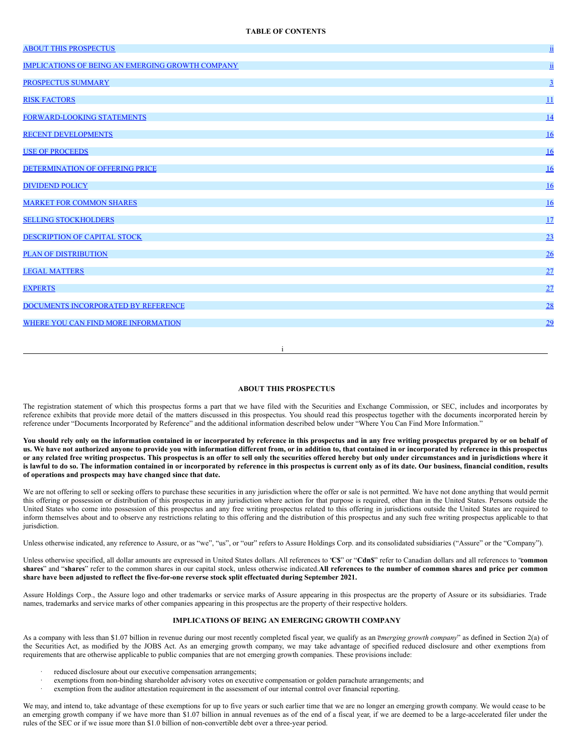## **TABLE OF CONTENTS**

| <b>ABOUT THIS PROSPECTUS</b>                            | $\underline{\textbf{ii}}$ |
|---------------------------------------------------------|---------------------------|
| <b>IMPLICATIONS OF BEING AN EMERGING GROWTH COMPANY</b> | $\underline{\textbf{ii}}$ |
| PROSPECTUS SUMMARY                                      | $\overline{3}$            |
| <b>RISK FACTORS</b>                                     | 11                        |
| FORWARD-LOOKING STATEMENTS                              | 14                        |
| <b>RECENT DEVELOPMENTS</b>                              | 16                        |
| <b>USE OF PROCEEDS</b>                                  | 16                        |
| DETERMINATION OF OFFERING PRICE                         | 16                        |
| <b>DIVIDEND POLICY</b>                                  | 16                        |
| <b>MARKET FOR COMMON SHARES</b>                         | 16                        |
| <b>SELLING STOCKHOLDERS</b>                             | 17                        |
| DESCRIPTION OF CAPITAL STOCK                            | 23                        |
| <b>PLAN OF DISTRIBUTION</b>                             | 26                        |
| <b>LEGAL MATTERS</b>                                    | 27                        |
| <b>EXPERTS</b>                                          | 27                        |
| DOCUMENTS INCORPORATED BY REFERENCE                     | 28                        |
| WHERE YOU CAN FIND MORE INFORMATION                     | $\overline{29}$           |
|                                                         |                           |

i

## <span id="page-2-0"></span>**ABOUT THIS PROSPECTUS**

The registration statement of which this prospectus forms a part that we have filed with the Securities and Exchange Commission, or SEC, includes and incorporates by reference exhibits that provide more detail of the matters discussed in this prospectus. You should read this prospectus together with the documents incorporated herein by reference under "Documents Incorporated by Reference" and the additional information described below under "Where You Can Find More Information."

You should rely only on the information contained in or incorporated by reference in this prospectus and in any free writing prospectus prepared by or on behalf of us. We have not authorized anyone to provide you with information different from, or in addition to, that contained in or incorporated by reference in this prospectus or any related free writing prospectus. This prospectus is an offer to sell only the securities offered hereby but only under circumstances and in jurisdictions where it is lawful to do so. The information contained in or incorporated by reference in this prospectus is current only as of its date. Our business, financial condition, results **of operations and prospects may have changed since that date.**

We are not offering to sell or seeking offers to purchase these securities in any jurisdiction where the offer or sale is not permitted. We have not done anything that would permit this offering or possession or distribution of this prospectus in any jurisdiction where action for that purpose is required, other than in the United States. Persons outside the United States who come into possession of this prospectus and any free writing prospectus related to this offering in jurisdictions outside the United States are required to inform themselves about and to observe any restrictions relating to this offering and the distribution of this prospectus and any such free writing prospectus applicable to that jurisdiction.

Unless otherwise indicated, any reference to Assure, or as "we", "us", or "our" refers to Assure Holdings Corp. and its consolidated subsidiaries ("Assure" or the "Company").

Unless otherwise specified, all dollar amounts are expressed in United States dollars. All references to "**C\$**" or "**Cdn\$**" refer to Canadian dollars and all references to "**common** shares" and "shares" refer to the common shares in our capital stock, unless otherwise indicated.All references to the number of common shares and price per common **share have been adjusted to reflect the five-for-one reverse stock split effectuated during September 2021.**

Assure Holdings Corp., the Assure logo and other trademarks or service marks of Assure appearing in this prospectus are the property of Assure or its subsidiaries. Trade names, trademarks and service marks of other companies appearing in this prospectus are the property of their respective holders.

## <span id="page-2-1"></span>**IMPLICATIONS OF BEING AN EMERGING GROWTH COMPANY**

As a company with less than \$1.07 billion in revenue during our most recently completed fiscal year, we qualify as an "*emerging growth company*" as defined in Section 2(a) of the Securities Act, as modified by the JOBS Act. As an emerging growth company, we may take advantage of specified reduced disclosure and other exemptions from requirements that are otherwise applicable to public companies that are not emerging growth companies. These provisions include:

- reduced disclosure about our executive compensation arrangements;
- exemptions from non-binding shareholder advisory votes on executive compensation or golden parachute arrangements; and
- exemption from the auditor attestation requirement in the assessment of our internal control over financial reporting.

We may, and intend to, take advantage of these exemptions for up to five years or such earlier time that we are no longer an emerging growth company. We would cease to be an emerging growth company if we have more than \$1.07 billion in annual revenues as of the end of a fiscal year, if we are deemed to be a large-accelerated filer under the rules of the SEC or if we issue more than \$1.0 billion of non-convertible debt over a three-year period.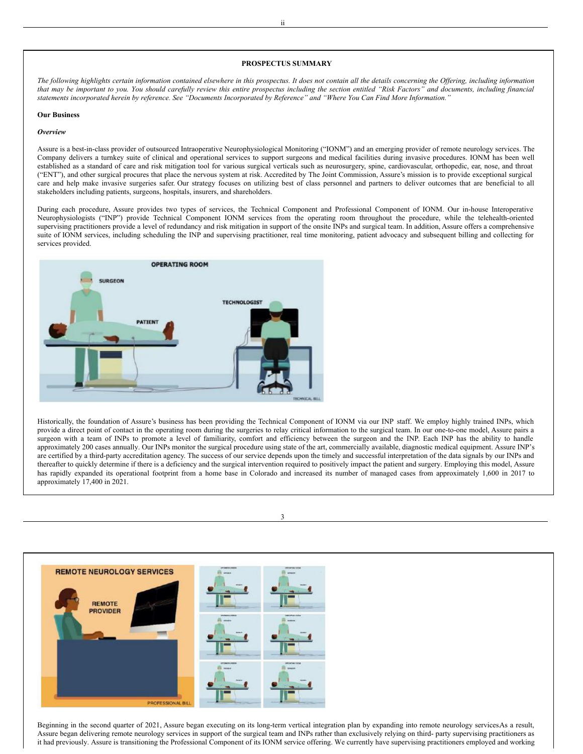## <span id="page-3-0"></span>**PROSPECTUS SUMMARY**

The following highlights certain information contained elsewhere in this prospectus. It does not contain all the details concerning the Offering, including information that may be important to you. You should carefully review this entire prospectus including the section entitled "Risk Factors" and documents, including financial statements incorporated herein by reference. See "Documents Incorporated by Reference" and "Where You Can Find More Information."

### **Our Business**

#### *Overview*

Assure is a best-in-class provider of outsourced Intraoperative Neurophysiological Monitoring ("IONM") and an emerging provider of remote neurology services. The Company delivers a turnkey suite of clinical and operational services to support surgeons and medical facilities during invasive procedures. IONM has been well established as a standard of care and risk mitigation tool for various surgical verticals such as neurosurgery, spine, cardiovascular, orthopedic, ear, nose, and throat ("ENT"), and other surgical procures that place the nervous system at risk. Accredited by The Joint Commission, Assure's mission is to provide exceptional surgical care and help make invasive surgeries safer. Our strategy focuses on utilizing best of class personnel and partners to deliver outcomes that are beneficial to all stakeholders including patients, surgeons, hospitals, insurers, and shareholders.

During each procedure, Assure provides two types of services, the Technical Component and Professional Component of IONM. Our in-house Interoperative Neurophysiologists ("INP") provide Technical Component IONM services from the operating room throughout the procedure, while the telehealth-oriented supervising practitioners provide a level of redundancy and risk mitigation in support of the onsite INPs and surgical team. In addition, Assure offers a comprehensive suite of IONM services, including scheduling the INP and supervising practitioner, real time monitoring, patient advocacy and subsequent billing and collecting for services provided.



Historically, the foundation of Assure's business has been providing the Technical Component of IONM via our INP staff. We employ highly trained INPs, which provide a direct point of contact in the operating room during the surgeries to relay critical information to the surgical team. In our one-to-one model, Assure pairs a surgeon with a team of INPs to promote a level of familiarity, comfort and efficiency between the surgeon and the INP. Each INP has the ability to handle approximately 200 cases annually. Our INPs monitor the surgical procedure using state of the art, commercially available, diagnostic medical equipment. Assure INP's are certified by a third-party accreditation agency. The success of our service depends upon the timely and successful interpretation of the data signals by our INPs and thereafter to quickly determine if there is a deficiency and the surgical intervention required to positively impact the patient and surgery. Employing this model, Assure has rapidly expanded its operational footprint from a home base in Colorado and increased its number of managed cases from approximately 1,600 in 2017 to approximately 17,400 in 2021.

3



Beginning in the second quarter of 2021, Assure began executing on its long-term vertical integration plan by expanding into remote neurology services As a result, Assure began delivering remote neurology services in support of the surgical team and INPs rather than exclusively relying on third- party supervising practitioners as it had previously. Assure is transitioning the Professional Component of its IONM service offering. We currently have supervising practitioners employed and working

ii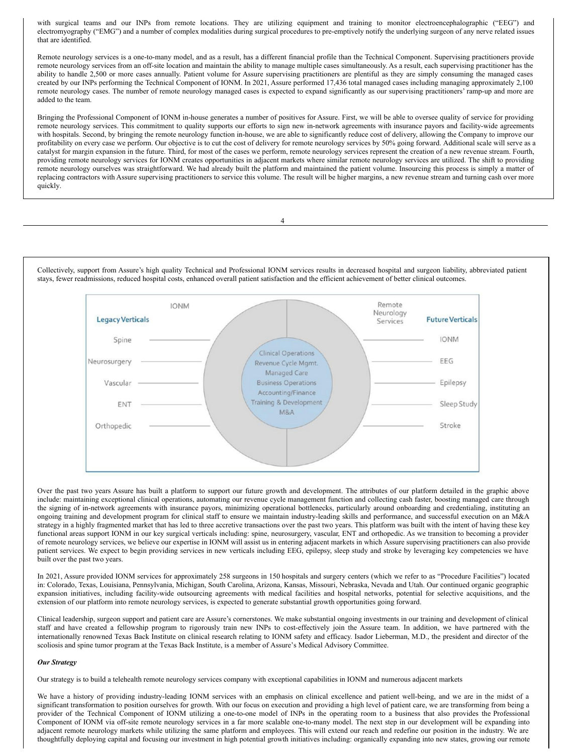with surgical teams and our INPs from remote locations. They are utilizing equipment and training to monitor electroencephalographic ("EEG") and electromyography ("EMG") and a number of complex modalities during surgical procedures to pre-emptively notify the underlying surgeon of any nerve related issues that are identified.

Remote neurology services is a one-to-many model, and as a result, has a different financial profile than the Technical Component. Supervising practitioners provide remote neurology services from an off-site location and maintain the ability to manage multiple cases simultaneously. As a result, each supervising practitioner has the ability to handle 2,500 or more cases annually. Patient volume for Assure supervising practitioners are plentiful as they are simply consuming the managed cases created by our INPs performing the Technical Component of IONM. In 2021, Assure performed 17,436 total managed cases including managing approximately 2,100 remote neurology cases. The number of remote neurology managed cases is expected to expand significantly as our supervising practitioners' ramp-up and more are added to the team.

Bringing the Professional Component of IONM in-house generates a number of positives for Assure. First, we will be able to oversee quality of service for providing remote neurology services. This commitment to quality supports our efforts to sign new in-network agreements with insurance payors and facility-wide agreements with hospitals. Second, by bringing the remote neurology function in-house, we are able to significantly reduce cost of delivery, allowing the Company to improve our profitability on every case we perform. Our objective is to cut the cost of delivery for remote neurology services by 50% going forward. Additional scale will serve as a catalyst for margin expansion in the future. Third, for most of the cases we perform, remote neurology services represent the creation of a new revenue stream. Fourth, providing remote neurology services for IONM creates opportunities in adjacent markets where similar remote neurology services are utilized. The shift to providing remote neurology ourselves was straightforward. We had already built the platform and maintained the patient volume. Insourcing this process is simply a matter of replacing contractors with Assure supervising practitioners to service this volume. The result will be higher margins, a new revenue stream and turning cash over more quickly.

4



Over the past two years Assure has built a platform to support our future growth and development. The attributes of our platform detailed in the graphic above include: maintaining exceptional clinical operations, automating our revenue cycle management function and collecting cash faster, boosting managed care through the signing of in-network agreements with insurance payors, minimizing operational bottlenecks, particularly around onboarding and credentialing, instituting an ongoing training and development program for clinical staff to ensure we maintain industry-leading skills and performance, and successful execution on an M&A strategy in a highly fragmented market that has led to three accretive transactions over the past two years. This platform was built with the intent of having these key functional areas support IONM in our key surgical verticals including: spine, neurosurgery, vascular, ENT and orthopedic. As we transition to becoming a provider of remote neurology services, we believe our expertise in IONM will assist us in entering adjacent markets in which Assure supervising practitioners can also provide patient services. We expect to begin providing services in new verticals including EEG, epilepsy, sleep study and stroke by leveraging key competencies we have built over the past two years.

In 2021, Assure provided IONM services for approximately 258 surgeons in 150 hospitals and surgery centers (which we refer to as "Procedure Facilities") located in: Colorado, Texas, Louisiana, Pennsylvania, Michigan, South Carolina, Arizona, Kansas, Missouri, Nebraska, Nevada and Utah. Our continued organic geographic expansion initiatives, including facility-wide outsourcing agreements with medical facilities and hospital networks, potential for selective acquisitions, and the extension of our platform into remote neurology services, is expected to generate substantial growth opportunities going forward.

Clinical leadership, surgeon support and patient care are Assure's cornerstones. We make substantial ongoing investments in our training and development of clinical staff and have created a fellowship program to rigorously train new INPs to cost-effectively join the Assure team. In addition, we have partnered with the internationally renowned Texas Back Institute on clinical research relating to IONM safety and efficacy. Isador Lieberman, M.D., the president and director of the scoliosis and spine tumor program at the Texas Back Institute, is a member of Assure's Medical Advisory Committee.

#### *Our Strategy*

Our strategy is to build a telehealth remote neurology services company with exceptional capabilities in IONM and numerous adjacent markets

We have a history of providing industry-leading IONM services with an emphasis on clinical excellence and patient well-being, and we are in the midst of a significant transformation to position ourselves for growth. With our focus on execution and providing a high level of patient care, we are transforming from being a provider of the Technical Component of IONM utilizing a one-to-one model of INPs in the operating room to a business that also provides the Professional Component of IONM via off-site remote neurology services in a far more scalable one-to-many model. The next step in our development will be expanding into adjacent remote neurology markets while utilizing the same platform and employees. This will extend our reach and redefine our position in the industry. We are thoughtfully deploying capital and focusing our investment in high potential growth initiatives including: organically expanding into new states, growing our remote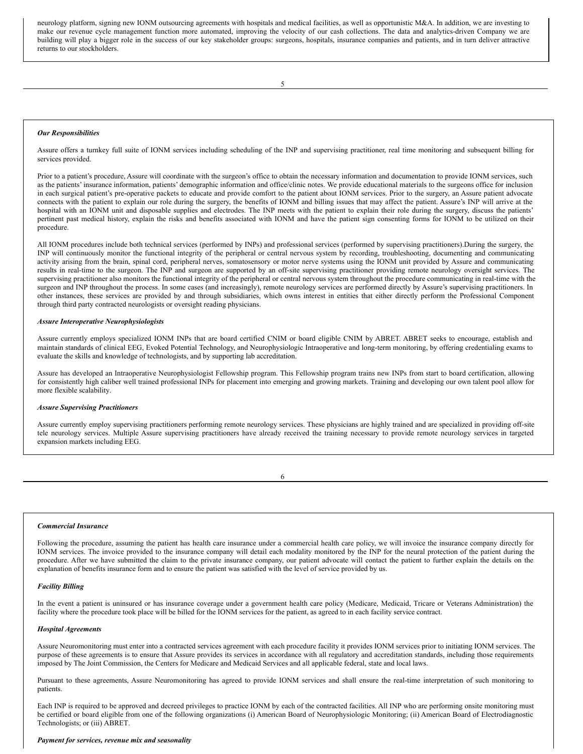neurology platform, signing new IONM outsourcing agreements with hospitals and medical facilities, as well as opportunistic M&A. In addition, we are investing to make our revenue cycle management function more automated, improving the velocity of our cash collections. The data and analytics-driven Company we are building will play a bigger role in the success of our key stakeholder groups: surgeons, hospitals, insurance companies and patients, and in turn deliver attractive returns to our stockholders.

5

#### *Our Responsibilities*

Assure offers a turnkey full suite of IONM services including scheduling of the INP and supervising practitioner, real time monitoring and subsequent billing for services provided.

Prior to a patient's procedure, Assure will coordinate with the surgeon's office to obtain the necessary information and documentation to provide IONM services, such as the patients' insurance information, patients' demographic information and office/clinic notes. We provide educational materials to the surgeons office for inclusion in each surgical patient's pre-operative packets to educate and provide comfort to the patient about IONM services. Prior to the surgery, an Assure patient advocate connects with the patient to explain our role during the surgery, the benefits of IONM and billing issues that may affect the patient. Assure's INP will arrive at the hospital with an IONM unit and disposable supplies and electrodes. The INP meets with the patient to explain their role during the surgery, discuss the patients' pertinent past medical history, explain the risks and benefits associated with IONM and have the patient sign consenting forms for IONM to be utilized on their procedure.

All IONM procedures include both technical services (performed by INPs) and professional services (performed by supervising practitioners).During the surgery, the INP will continuously monitor the functional integrity of the peripheral or central nervous system by recording, troubleshooting, documenting and communicating activity arising from the brain, spinal cord, peripheral nerves, somatosensory or motor nerve systems using the IONM unit provided by Assure and communicating results in real-time to the surgeon. The INP and surgeon are supported by an off-site supervising practitioner providing remote neurology oversight services. The supervising practitioner also monitors the functional integrity of the peripheral or central nervous system throughout the procedure communicating in real-time with the surgeon and INP throughout the process. In some cases (and increasingly), remote neurology services are performed directly by Assure's supervising practitioners. In other instances, these services are provided by and through subsidiaries, which owns interest in entities that either directly perform the Professional Component through third party contracted neurologists or oversight reading physicians.

#### *Assure Interoperative Neurophysiologists*

Assure currently employs specialized IONM INPs that are board certified CNIM or board eligible CNIM by ABRET. ABRET seeks to encourage, establish and maintain standards of clinical EEG, Evoked Potential Technology, and Neurophysiologic Intraoperative and long-term monitoring, by offering credentialing exams to evaluate the skills and knowledge of technologists, and by supporting lab accreditation.

Assure has developed an Intraoperative Neurophysiologist Fellowship program. This Fellowship program trains new INPs from start to board certification, allowing for consistently high caliber well trained professional INPs for placement into emerging and growing markets. Training and developing our own talent pool allow for more flexible scalability.

## *Assure Supervising Practitioners*

Assure currently employ supervising practitioners performing remote neurology services. These physicians are highly trained and are specialized in providing off-site tele neurology services. Multiple Assure supervising practitioners have already received the training necessary to provide remote neurology services in targeted expansion markets including EEG.

| I<br>٦<br>۰, |
|--------------|
|--------------|

## *Commercial Insurance*

Following the procedure, assuming the patient has health care insurance under a commercial health care policy, we will invoice the insurance company directly for IONM services. The invoice provided to the insurance company will detail each modality monitored by the INP for the neural protection of the patient during the procedure. After we have submitted the claim to the private insurance company, our patient advocate will contact the patient to further explain the details on the explanation of benefits insurance form and to ensure the patient was satisfied with the level of service provided by us.

## *Facility Billing*

In the event a patient is uninsured or has insurance coverage under a government health care policy (Medicare, Medicaid, Tricare or Veterans Administration) the facility where the procedure took place will be billed for the IONM services for the patient, as agreed to in each facility service contract.

#### *Hospital Agreements*

Assure Neuromonitoring must enter into a contracted services agreement with each procedure facility it provides IONM services prior to initiating IONM services. The purpose of these agreements is to ensure that Assure provides its services in accordance with all regulatory and accreditation standards, including those requirements imposed by The Joint Commission, the Centers for Medicare and Medicaid Services and all applicable federal, state and local laws.

Pursuant to these agreements, Assure Neuromonitoring has agreed to provide IONM services and shall ensure the real-time interpretation of such monitoring to patients.

Each INP is required to be approved and decreed privileges to practice IONM by each of the contracted facilities. All INP who are performing onsite monitoring must be certified or board eligible from one of the following organizations (i) American Board of Neurophysiologic Monitoring; (ii) American Board of Electrodiagnostic Technologists; or (iii) ABRET.

#### *Payment for services, revenue mix and seasonality*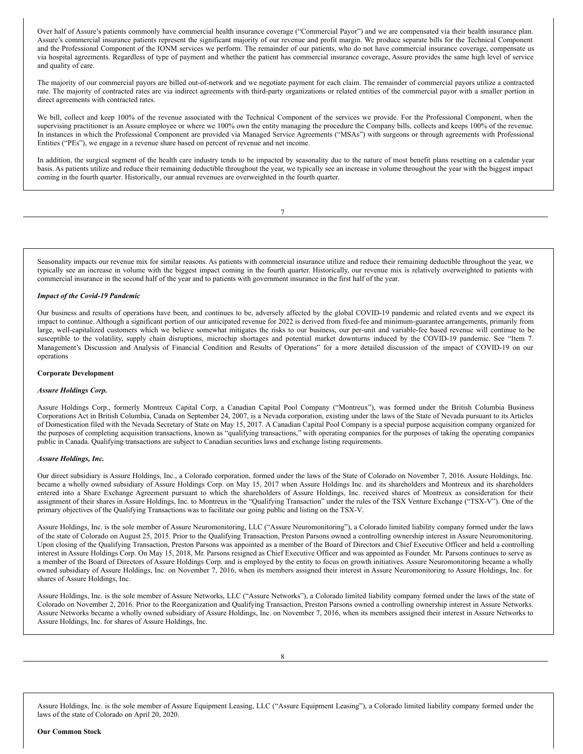Over half of Assure's patients commonly have commercial health insurance coverage ("Commercial Payor") and we are compensated via their health insurance plan. Assure's commercial insurance patients represent the significant majority of our revenue and profit margin. We produce separate bills for the Technical Component and the Professional Component of the IONM services we perform. The remainder of our patients, who do not have commercial insurance coverage, compensate us via hospital agreements. Regardless of type of payment and whether the patient has commercial insurance coverage, Assure provides the same high level of service and quality of care.

The majority of our commercial payors are billed out-of-network and we negotiate payment for each claim. The remainder of commercial payors utilize a contracted rate. The majority of contracted rates are via indirect agreements with third-party organizations or related entities of the commercial payor with a smaller portion in direct agreements with contracted rates.

We bill, collect and keep 100% of the revenue associated with the Technical Component of the services we provide. For the Professional Component, when the supervising practitioner is an Assure employee or where we 100% own the entity managing the procedure the Company bills, collects and keeps 100% of the revenue. In instances in which the Professional Component are provided via Managed Service Agreements ("MSAs") with surgeons or through agreements with Professional Entities ("PEs"), we engage in a revenue share based on percent of revenue and net income.

In addition, the surgical segment of the health care industry tends to be impacted by seasonality due to the nature of most benefit plans resetting on a calendar year basis. As patients utilize and reduce their remaining deductible throughout the year, we typically see an increase in volume throughout the year with the biggest impact coming in the fourth quarter. Historically, our annual revenues are overweighted in the fourth quarter.

7

Seasonality impacts our revenue mix for similar reasons. As patients with commercial insurance utilize and reduce their remaining deductible throughout the year, we typically see an increase in volume with the biggest impact coming in the fourth quarter. Historically, our revenue mix is relatively overweighted to patients with commercial insurance in the second half of the year and to patients with government insurance in the first half of the year.

## *Impact of the Covid-19 Pandemic*

Our business and results of operations have been, and continues to be, adversely affected by the global COVID-19 pandemic and related events and we expect its impact to continue. Although a significant portion of our anticipated revenue for 2022 is derived from fixed-fee and minimum-guarantee arrangements, primarily from large, well-capitalized customers which we believe somewhat mitigates the risks to our business, our per-unit and variable-fee based revenue will continue to be susceptible to the volatility, supply chain disruptions, microchip shortages and potential market downturns induced by the COVID-19 pandemic. See "Item 7. Management's Discussion and Analysis of Financial Condition and Results of Operations" for a more detailed discussion of the impact of COVID-19 on our operations

#### **Corporate Development**

#### *Assure Holdings Corp.*

Assure Holdings Corp., formerly Montreux Capital Corp, a Canadian Capital Pool Company ("Montreux"), was formed under the British Columbia Business Corporations Act in British Columbia, Canada on September 24, 2007, is a Nevada corporation, existing under the laws of the State of Nevada pursuant to its Articles of Domestication filed with the Nevada Secretary of State on May 15, 2017. A Canadian Capital Pool Company is a special purpose acquisition company organized for the purposes of completing acquisition transactions, known as "qualifying transactions," with operating companies for the purposes of taking the operating companies public in Canada. Qualifying transactions are subject to Canadian securities laws and exchange listing requirements.

#### *Assure Holdings, Inc.*

Our direct subsidiary is Assure Holdings, Inc., a Colorado corporation, formed under the laws of the State of Colorado on November 7, 2016. Assure Holdings, Inc. became a wholly owned subsidiary of Assure Holdings Corp. on May 15, 2017 when Assure Holdings Inc. and its shareholders and Montreux and its shareholders entered into a Share Exchange Agreement pursuant to which the shareholders of Assure Holdings, Inc. received shares of Montreux as consideration for their assignment of their shares in Assure Holdings, Inc. to Montreux in the "Qualifying Transaction" under the rules of the TSX Venture Exchange ("TSX-V"). One of the primary objectives of the Qualifying Transactions was to facilitate our going public and listing on the TSX-V.

Assure Holdings, Inc. is the sole member of Assure Neuromonitoring, LLC ("Assure Neuromonitoring"), a Colorado limited liability company formed under the laws of the state of Colorado on August 25, 2015. Prior to the Qualifying Transaction, Preston Parsons owned a controlling ownership interest in Assure Neuromonitoring. Upon closing of the Qualifying Transaction, Preston Parsons was appointed as a member of the Board of Directors and Chief Executive Officer and held a controlling interest in Assure Holdings Corp. On May 15, 2018, Mr. Parsons resigned as Chief Executive Officer and was appointed as Founder. Mr. Parsons continues to serve as a member of the Board of Directors of Assure Holdings Corp. and is employed by the entity to focus on growth initiatives. Assure Neuromonitoring became a wholly owned subsidiary of Assure Holdings, Inc. on November 7, 2016, when its members assigned their interest in Assure Neuromonitoring to Assure Holdings, Inc. for shares of Assure Holdings, Inc.

Assure Holdings, Inc. is the sole member of Assure Networks, LLC ("Assure Networks"), a Colorado limited liability company formed under the laws of the state of Colorado on November 2, 2016. Prior to the Reorganization and Qualifying Transaction, Preston Parsons owned a controlling ownership interest in Assure Networks. Assure Networks became a wholly owned subsidiary of Assure Holdings, Inc. on November 7, 2016, when its members assigned their interest in Assure Networks to Assure Holdings, Inc. for shares of Assure Holdings, Inc.

8

Assure Holdings, Inc. is the sole member of Assure Equipment Leasing, LLC ("Assure Equipment Leasing"), a Colorado limited liability company formed under the laws of the state of Colorado on April 20, 2020.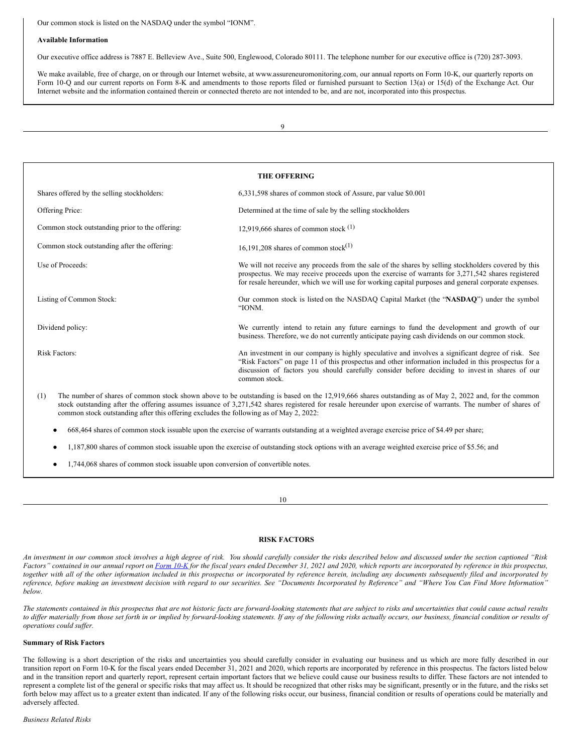Our common stock is listed on the NASDAQ under the symbol "IONM".

#### **Available Information**

Our executive office address is 7887 E. Belleview Ave., Suite 500, Englewood, Colorado 80111. The telephone number for our executive office is (720) 287-3093.

We make available, free of charge, on or through our Internet website, at www.assureneuromonitoring.com, our annual reports on Form 10-K, our quarterly reports on Form 10-Q and our current reports on Form 8-K and amendments to those reports filed or furnished pursuant to Section 13(a) or 15(d) of the Exchange Act. Our Internet website and the information contained therein or connected thereto are not intended to be, and are not, incorporated into this prospectus.

| <b>THE OFFERING</b>                                                                                                                                                                                                                                                                                                                                                                                                     |                                                                                                                                                                                                                                                                                                                              |  |  |  |
|-------------------------------------------------------------------------------------------------------------------------------------------------------------------------------------------------------------------------------------------------------------------------------------------------------------------------------------------------------------------------------------------------------------------------|------------------------------------------------------------------------------------------------------------------------------------------------------------------------------------------------------------------------------------------------------------------------------------------------------------------------------|--|--|--|
| Shares offered by the selling stockholders:                                                                                                                                                                                                                                                                                                                                                                             | 6,331,598 shares of common stock of Assure, par value \$0.001                                                                                                                                                                                                                                                                |  |  |  |
| Offering Price:                                                                                                                                                                                                                                                                                                                                                                                                         | Determined at the time of sale by the selling stockholders                                                                                                                                                                                                                                                                   |  |  |  |
| Common stock outstanding prior to the offering:                                                                                                                                                                                                                                                                                                                                                                         | 12,919,666 shares of common stock $(1)$                                                                                                                                                                                                                                                                                      |  |  |  |
| Common stock outstanding after the offering:                                                                                                                                                                                                                                                                                                                                                                            | 16,191,208 shares of common stock $(1)$                                                                                                                                                                                                                                                                                      |  |  |  |
| Use of Proceeds:                                                                                                                                                                                                                                                                                                                                                                                                        | We will not receive any proceeds from the sale of the shares by selling stockholders covered by this<br>prospectus. We may receive proceeds upon the exercise of warrants for 3,271,542 shares registered<br>for resale hereunder, which we will use for working capital purposes and general corporate expenses.            |  |  |  |
| Listing of Common Stock:                                                                                                                                                                                                                                                                                                                                                                                                | Our common stock is listed on the NASDAO Capital Market (the "NASDAO") under the symbol<br>"IONM.                                                                                                                                                                                                                            |  |  |  |
| Dividend policy:                                                                                                                                                                                                                                                                                                                                                                                                        | We currently intend to retain any future earnings to fund the development and growth of our<br>business. Therefore, we do not currently anticipate paying cash dividends on our common stock.                                                                                                                                |  |  |  |
| <b>Risk Factors:</b>                                                                                                                                                                                                                                                                                                                                                                                                    | An investment in our company is highly speculative and involves a significant degree of risk. See<br>"Risk Factors" on page 11 of this prospectus and other information included in this prospectus for a<br>discussion of factors you should carefully consider before deciding to invest in shares of our<br>common stock. |  |  |  |
| The number of shares of common stock shown above to be outstanding is based on the 12,919,666 shares outstanding as of May 2, 2022 and, for the common<br>(1)<br>stock outstanding after the offering assumes issuance of 3,271,542 shares registered for resale hereunder upon exercise of warrants. The number of shares of<br>common stock outstanding after this offering excludes the following as of May 2, 2022: |                                                                                                                                                                                                                                                                                                                              |  |  |  |
| 668,464 shares of common stock issuable upon the exercise of warrants outstanding at a weighted average exercise price of \$4.49 per share;<br>$\bullet$                                                                                                                                                                                                                                                                |                                                                                                                                                                                                                                                                                                                              |  |  |  |
| 1,187,800 shares of common stock issuable upon the exercise of outstanding stock options with an average weighted exercise price of \$5.56; and<br>٠                                                                                                                                                                                                                                                                    |                                                                                                                                                                                                                                                                                                                              |  |  |  |

1,744,068 shares of common stock issuable upon conversion of convertible notes.

10

## <span id="page-7-0"></span>**RISK FACTORS**

An investment in our common stock involves a high degree of risk. You should carefully consider the risks described below and discussed under the section captioned "Risk Factors" contained in our annual report on [Form](https://www.sec.gov/ix?doc=/Archives/edgar/data/1798270/000155837022003471/ionm-20211231x10k.htm) 10-K for the fiscal years ended December 31, 2021 and 2020, which reports are incorporated by reference in this prospectus, together with all of the other information included in this prospectus or incorporated by reference herein, including any documents subsequently filed and incorporated by reference, before making an investment decision with regard to our securities. See "Documents Incorporated by Reference" and "Where You Can Find More Information" *below.*

The statements contained in this prospectus that are not historic facts are forward-looking statements that are subject to risks and uncertainties that could cause actual results to differ materially from those set forth in or implied by forward-looking statements. If any of the following risks actually occurs, our business, financial condition or results of  $o$ *perations could* suffer.

## **Summary of Risk Factors**

The following is a short description of the risks and uncertainties you should carefully consider in evaluating our business and us which are more fully described in our transition report on Form 10-K for the fiscal years ended December 31, 2021 and 2020, which reports are incorporated by reference in this prospectus. The factors listed below and in the transition report and quarterly report, represent certain important factors that we believe could cause our business results to differ. These factors are not intended to represent a complete list of the general or specific risks that may affect us. It should be recognized that other risks may be significant, presently or in the future, and the risks set forth below may affect us to a greater extent than indicated. If any of the following risks occur, our business, financial condition or results of operations could be materially and adversely affected.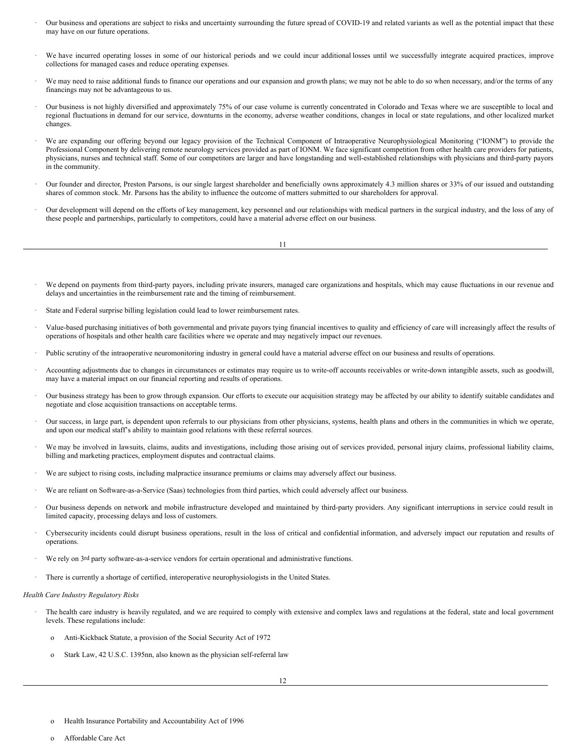- · Our business and operations are subject to risks and uncertainty surrounding the future spread of COVID-19 and related variants as well as the potential impact that these may have on our future operations.
- We have incurred operating losses in some of our historical periods and we could incur additional losses until we successfully integrate acquired practices, improve collections for managed cases and reduce operating expenses.
- We may need to raise additional funds to finance our operations and our expansion and growth plans; we may not be able to do so when necessary, and/or the terms of any financings may not be advantageous to us.
- · Our business is not highly diversified and approximately 75% of our case volume is currently concentrated in Colorado and Texas where we are susceptible to local and regional fluctuations in demand for our service, downturns in the economy, adverse weather conditions, changes in local or state regulations, and other localized market changes.
- We are expanding our offering beyond our legacy provision of the Technical Component of Intraoperative Neurophysiological Monitoring ("IONM") to provide the Professional Component by delivering remote neurology services provided as part of IONM. We face significant competition from other health care providers for patients, physicians, nurses and technical staff. Some of our competitors are larger and have longstanding and well-established relationships with physicians and third-party payors in the community.
- · Our founder and director, Preston Parsons, is our single largest shareholder and beneficially owns approximately 4.3 million shares or 33% of our issued and outstanding shares of common stock. Mr. Parsons has the ability to influence the outcome of matters submitted to our shareholders for approval.
- · Our development will depend on the efforts of key management, key personnel and our relationships with medical partners in the surgical industry, and the loss of any of these people and partnerships, particularly to competitors, could have a material adverse effect on our business.

11

- We depend on payments from third-party payors, including private insurers, managed care organizations and hospitals, which may cause fluctuations in our revenue and delays and uncertainties in the reimbursement rate and the timing of reimbursement.
- State and Federal surprise billing legislation could lead to lower reimbursement rates.
- · Value-based purchasing initiatives of both governmental and private payors tying financial incentives to quality and efficiency of care will increasingly affect the results of operations of hospitals and other health care facilities where we operate and may negatively impact our revenues.
- Public scrutiny of the intraoperative neuromonitoring industry in general could have a material adverse effect on our business and results of operations.
- · Accounting adjustments due to changes in circumstances or estimates may require us to write-off accounts receivables or write-down intangible assets, such as goodwill, may have a material impact on our financial reporting and results of operations.
- Our business strategy has been to grow through expansion. Our efforts to execute our acquisition strategy may be affected by our ability to identify suitable candidates and negotiate and close acquisition transactions on acceptable terms.
- · Our success, in large part, is dependent upon referrals to our physicians from other physicians, systems, health plans and others in the communities in which we operate, and upon our medical staff's ability to maintain good relations with these referral sources.
- We may be involved in lawsuits, claims, audits and investigations, including those arising out of services provided, personal injury claims, professional liability claims, billing and marketing practices, employment disputes and contractual claims.
- We are subject to rising costs, including malpractice insurance premiums or claims may adversely affect our business.
- We are reliant on Software-as-a-Service (Saas) technologies from third parties, which could adversely affect our business.
- · Our business depends on network and mobile infrastructure developed and maintained by third-party providers. Any significant interruptions in service could result in limited capacity, processing delays and loss of customers.
- · Cybersecurity incidents could disrupt business operations, result in the loss of critical and confidential information, and adversely impact our reputation and results of operations.
- We rely on 3rd party software-as-a-service vendors for certain operational and administrative functions.
- There is currently a shortage of certified, interoperative neurophysiologists in the United States.

#### *Health Care Industry Regulatory Risks*

- The health care industry is heavily regulated, and we are required to comply with extensive and complex laws and regulations at the federal, state and local government levels. These regulations include:
	- o Anti-Kickback Statute, a provision of the Social Security Act of 1972
	- o Stark Law, 42 U.S.C. 1395nn, also known as the physician self-referral law

- Health Insurance Portability and Accountability Act of 1996
- o Affordable Care Act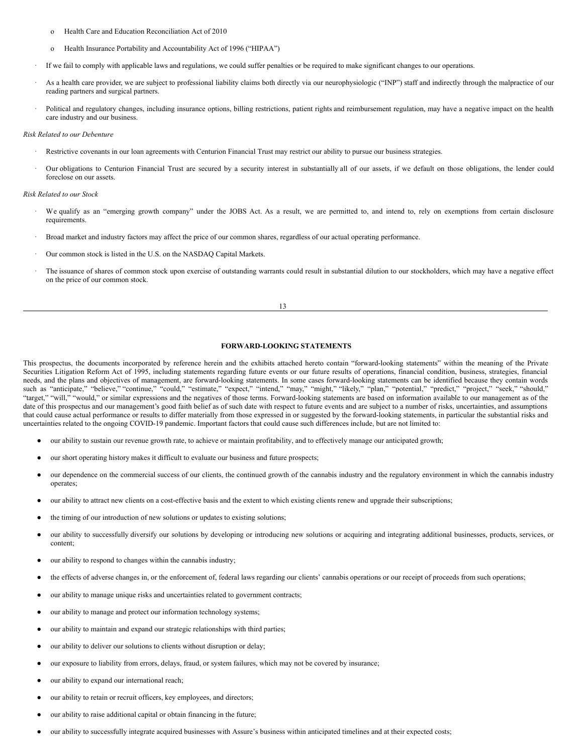- o Health Care and Education Reconciliation Act of 2010
- o Health Insurance Portability and Accountability Act of 1996 ("HIPAA")
- · If we fail to comply with applicable laws and regulations, we could suffer penalties or be required to make significant changes to our operations.
- As a health care provider, we are subject to professional liability claims both directly via our neurophysiologic ("INP") staff and indirectly through the malpractice of our reading partners and surgical partners.
- Political and regulatory changes, including insurance options, billing restrictions, patient rights and reimbursement regulation, may have a negative impact on the health care industry and our business.

#### *Risk Related to our Debenture*

- Restrictive covenants in our loan agreements with Centurion Financial Trust may restrict our ability to pursue our business strategies.
- · Our obligations to Centurion Financial Trust are secured by a security interest in substantially all of our assets, if we default on those obligations, the lender could foreclose on our assets.

#### *Risk Related to our Stock*

- We qualify as an "emerging growth company" under the JOBS Act. As a result, we are permitted to, and intend to, rely on exemptions from certain disclosure requirements.
- · Broad market and industry factors may affect the price of our common shares, regardless of our actual operating performance.
- Our common stock is listed in the U.S. on the NASDAQ Capital Markets.
- The issuance of shares of common stock upon exercise of outstanding warrants could result in substantial dilution to our stockholders, which may have a negative effect on the price of our common stock.

13

#### <span id="page-9-0"></span>**FORWARD-LOOKING STATEMENTS**

This prospectus, the documents incorporated by reference herein and the exhibits attached hereto contain "forward-looking statements" within the meaning of the Private Securities Litigation Reform Act of 1995, including statements regarding future events or our future results of operations, financial condition, business, strategies, financial needs, and the plans and objectives of management, are forward-looking statements. In some cases forward-looking statements can be identified because they contain words such as "anticipate," "believe," "continue," "could," "estimate," "expect," "intend," "may," "might," "ikely," "plan," "potential," "predict," "project," "seek," "should," "target," "will," "would," or similar expressions and the negatives of those terms. Forward-looking statements are based on information available to our management as of the date of this prospectus and our management's good faith belief as of such date with respect to future events and are subject to a number of risks, uncertainties, and assumptions that could cause actual performance or results to differ materially from those expressed in or suggested by the forward-looking statements, in particular the substantial risks and uncertainties related to the ongoing COVID-19 pandemic. Important factors that could cause such differences include, but are not limited to:

- our ability to sustain our revenue growth rate, to achieve or maintain profitability, and to effectively manage our anticipated growth;
- our short operating history makes it difficult to evaluate our business and future prospects;
- our dependence on the commercial success of our clients, the continued growth of the cannabis industry and the regulatory environment in which the cannabis industry operates;
- our ability to attract new clients on a cost-effective basis and the extent to which existing clients renew and upgrade their subscriptions;
- the timing of our introduction of new solutions or updates to existing solutions;
- our ability to successfully diversify our solutions by developing or introducing new solutions or acquiring and integrating additional businesses, products, services, or content;
- our ability to respond to changes within the cannabis industry;
- the effects of adverse changes in, or the enforcement of, federal laws regarding our clients' cannabis operations or our receipt of proceeds from such operations;
- our ability to manage unique risks and uncertainties related to government contracts;
- our ability to manage and protect our information technology systems;
- our ability to maintain and expand our strategic relationships with third parties;
- our ability to deliver our solutions to clients without disruption or delay;
- our exposure to liability from errors, delays, fraud, or system failures, which may not be covered by insurance;
- our ability to expand our international reach;
- our ability to retain or recruit officers, key employees, and directors;
- our ability to raise additional capital or obtain financing in the future;
- our ability to successfully integrate acquired businesses with Assure's business within anticipated timelines and at their expected costs;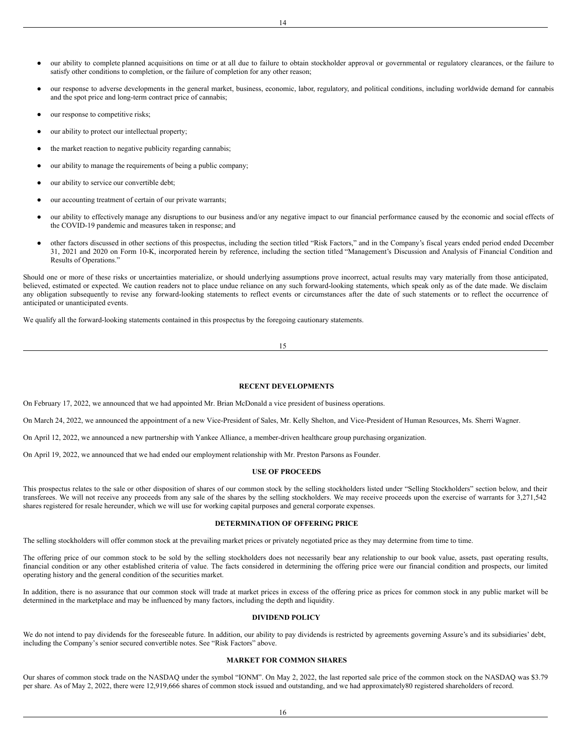14

- our response to adverse developments in the general market, business, economic, labor, regulatory, and political conditions, including worldwide demand for cannabis and the spot price and long-term contract price of cannabis;
- our response to competitive risks;
- our ability to protect our intellectual property;
- the market reaction to negative publicity regarding cannabis;
- our ability to manage the requirements of being a public company;
- our ability to service our convertible debt;
- our accounting treatment of certain of our private warrants;
- our ability to effectively manage any disruptions to our business and/or any negative impact to our financial performance caused by the economic and social effects of the COVID-19 pandemic and measures taken in response; and
- other factors discussed in other sections of this prospectus, including the section titled "Risk Factors," and in the Company's fiscal years ended period ended December 31, 2021 and 2020 on Form 10-K, incorporated herein by reference, including the section titled "Management's Discussion and Analysis of Financial Condition and Results of Operations."

Should one or more of these risks or uncertainties materialize, or should underlying assumptions prove incorrect, actual results may vary materially from those anticipated, believed, estimated or expected. We caution readers not to place undue reliance on any such forward-looking statements, which speak only as of the date made. We disclaim any obligation subsequently to revise any forward-looking statements to reflect events or circumstances after the date of such statements or to reflect the occurrence of anticipated or unanticipated events.

We qualify all the forward-looking statements contained in this prospectus by the foregoing cautionary statements.

15

## <span id="page-10-0"></span>**RECENT DEVELOPMENTS**

On February 17, 2022, we announced that we had appointed Mr. Brian McDonald a vice president of business operations.

On March 24, 2022, we announced the appointment of a new Vice-President of Sales, Mr. Kelly Shelton, and Vice-President of Human Resources, Ms. Sherri Wagner.

On April 12, 2022, we announced a new partnership with Yankee Alliance, a member-driven healthcare group purchasing organization.

On April 19, 2022, we announced that we had ended our employment relationship with Mr. Preston Parsons as Founder.

#### <span id="page-10-1"></span>**USE OF PROCEEDS**

This prospectus relates to the sale or other disposition of shares of our common stock by the selling stockholders listed under "Selling Stockholders" section below, and their transferees. We will not receive any proceeds from any sale of the shares by the selling stockholders. We may receive proceeds upon the exercise of warrants for 3,271,542 shares registered for resale hereunder, which we will use for working capital purposes and general corporate expenses.

### <span id="page-10-2"></span>**DETERMINATION OF OFFERING PRICE**

The selling stockholders will offer common stock at the prevailing market prices or privately negotiated price as they may determine from time to time.

The offering price of our common stock to be sold by the selling stockholders does not necessarily bear any relationship to our book value, assets, past operating results, financial condition or any other established criteria of value. The facts considered in determining the offering price were our financial condition and prospects, our limited operating history and the general condition of the securities market.

In addition, there is no assurance that our common stock will trade at market prices in excess of the offering price as prices for common stock in any public market will be determined in the marketplace and may be influenced by many factors, including the depth and liquidity.

## <span id="page-10-3"></span>**DIVIDEND POLICY**

We do not intend to pay dividends for the foreseeable future. In addition, our ability to pay dividends is restricted by agreements governing Assure's and its subsidiaries' debt, including the Company's senior secured convertible notes. See "Risk Factors" above.

## <span id="page-10-4"></span>**MARKET FOR COMMON SHARES**

Our shares of common stock trade on the NASDAQ under the symbol "IONM". On May 2, 2022, the last reported sale price of the common stock on the NASDAQ was \$3.79 per share. As of May 2, 2022, there were 12,919,666 shares of common stock issued and outstanding, and we had approximately80 registered shareholders of record.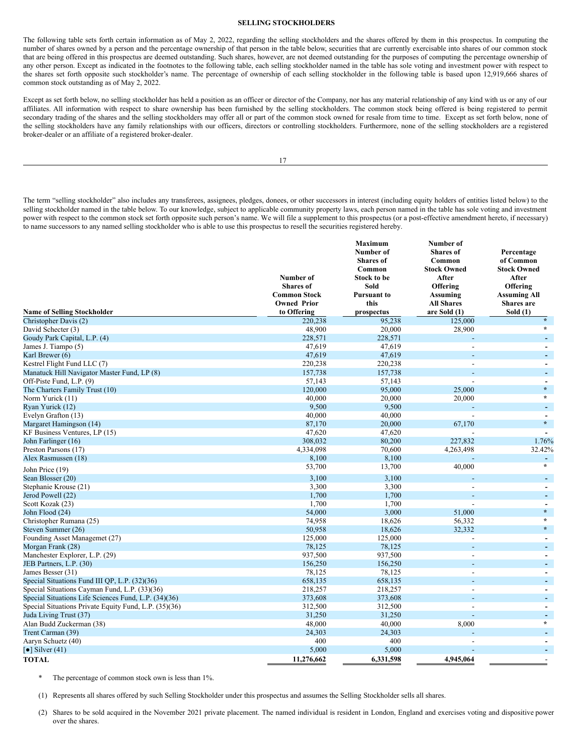### <span id="page-11-0"></span>**SELLING STOCKHOLDERS**

The following table sets forth certain information as of May 2, 2022, regarding the selling stockholders and the shares offered by them in this prospectus. In computing the number of shares owned by a person and the percentage ownership of that person in the table below, securities that are currently exercisable into shares of our common stock that are being offered in this prospectus are deemed outstanding. Such shares, however, are not deemed outstanding for the purposes of computing the percentage ownership of any other person. Except as indicated in the footnotes to the following table, each selling stockholder named in the table has sole voting and investment power with respect to the shares set forth opposite such stockholder's name. The percentage of ownership of each selling stockholder in the following table is based upon 12,919,666 shares of common stock outstanding as of May 2, 2022.

Except as set forth below, no selling stockholder has held a position as an officer or director of the Company, nor has any material relationship of any kind with us or any of our affiliates. All information with respect to share ownership has been furnished by the selling stockholders. The common stock being offered is being registered to permit secondary trading of the shares and the selling stockholders may offer all or part of the common stock owned for resale from time to time. Except as set forth below, none of the selling stockholders have any family relationships with our officers, directors or controlling stockholders. Furthermore, none of the selling stockholders are a registered broker-dealer or an affiliate of a registered broker-dealer.

The term "selling stockholder" also includes any transferees, assignees, pledges, donees, or other successors in interest (including equity holders of entities listed below) to the selling stockholder named in the table below. To our knowledge, subject to applicable community property laws, each person named in the table has sole voting and investment power with respect to the common stock set forth opposite such person's name. We will file a supplement to this prospectus (or a post-effective amendment hereto, if necessary) to name successors to any named selling stockholder who is able to use this prospectus to resell the securities registered hereby.

| <b>Name of Selling Stockholder</b>                    | Number of<br><b>Shares</b> of<br><b>Common Stock</b><br><b>Owned Prior</b><br>to Offering | Maximum<br>Number of<br><b>Shares</b> of<br>Common<br><b>Stock to be</b><br>Sold<br><b>Pursuant to</b><br>this<br>prospectus | Number of<br><b>Shares</b> of<br>Common<br><b>Stock Owned</b><br>After<br>Offering<br><b>Assuming</b><br><b>All Shares</b><br>are Sold (1) | Percentage<br>of Common<br><b>Stock Owned</b><br>After<br>Offering<br><b>Assuming All</b><br>Shares are<br>Sold $(1)$ |
|-------------------------------------------------------|-------------------------------------------------------------------------------------------|------------------------------------------------------------------------------------------------------------------------------|--------------------------------------------------------------------------------------------------------------------------------------------|-----------------------------------------------------------------------------------------------------------------------|
| Christopher Davis (2)                                 | 220,238                                                                                   | 95,238                                                                                                                       | 125,000                                                                                                                                    | $\star$                                                                                                               |
| David Schecter (3)                                    | 48,900                                                                                    | 20,000                                                                                                                       | 28,900                                                                                                                                     | $\star$                                                                                                               |
| Goudy Park Capital, L.P. (4)                          | 228,571                                                                                   | 228,571                                                                                                                      |                                                                                                                                            |                                                                                                                       |
| James J. Tiampo (5)                                   | 47,619                                                                                    | 47,619                                                                                                                       |                                                                                                                                            |                                                                                                                       |
| Karl Brewer (6)                                       | 47,619                                                                                    | 47,619                                                                                                                       |                                                                                                                                            |                                                                                                                       |
| Kestrel Flight Fund LLC (7)                           | 220,238                                                                                   | 220,238                                                                                                                      |                                                                                                                                            |                                                                                                                       |
| Manatuck Hill Navigator Master Fund, LP (8)           | 157,738                                                                                   | 157,738                                                                                                                      |                                                                                                                                            |                                                                                                                       |
| Off-Piste Fund, L.P. (9)                              | 57,143                                                                                    | 57,143                                                                                                                       |                                                                                                                                            |                                                                                                                       |
| The Charters Family Trust (10)                        | 120,000                                                                                   | 95,000                                                                                                                       | 25,000                                                                                                                                     | $\star$                                                                                                               |
| Norm Yurick (11)                                      | 40,000                                                                                    | 20,000                                                                                                                       | 20,000                                                                                                                                     | $\star$                                                                                                               |
| Ryan Yurick (12)                                      | 9,500                                                                                     | 9,500                                                                                                                        |                                                                                                                                            |                                                                                                                       |
| Evelyn Grafton (13)                                   | 40,000                                                                                    | 40,000                                                                                                                       |                                                                                                                                            | $\overline{\phantom{a}}$                                                                                              |
| Margaret Hamingson (14)                               | 87,170                                                                                    | 20,000                                                                                                                       | 67.170                                                                                                                                     | $\star$                                                                                                               |
| KF Business Ventures, LP (15)                         | 47,620                                                                                    | 47,620                                                                                                                       |                                                                                                                                            |                                                                                                                       |
| John Farlinger (16)                                   | 308,032                                                                                   | 80,200                                                                                                                       | 227,832                                                                                                                                    | 1.76%                                                                                                                 |
| Preston Parsons (17)                                  | 4,334,098                                                                                 | 70,600                                                                                                                       | 4,263,498                                                                                                                                  | 32.42%                                                                                                                |
| Alex Rasmussen (18)                                   | 8,100                                                                                     | 8,100                                                                                                                        |                                                                                                                                            | $\blacksquare$                                                                                                        |
| John Price (19)                                       | 53,700                                                                                    | 13,700                                                                                                                       | 40,000                                                                                                                                     | $\star$                                                                                                               |
| Sean Blosser (20)                                     | 3,100                                                                                     | 3,100                                                                                                                        |                                                                                                                                            | $\blacksquare$                                                                                                        |
| Stephanie Krouse (21)                                 | 3,300                                                                                     | 3,300                                                                                                                        |                                                                                                                                            |                                                                                                                       |
| Jerod Powell (22)                                     | 1,700                                                                                     | 1,700                                                                                                                        |                                                                                                                                            |                                                                                                                       |
| Scott Kozak (23)                                      | 1,700                                                                                     | 1,700                                                                                                                        |                                                                                                                                            |                                                                                                                       |
| John Flood (24)                                       | 54,000                                                                                    | 3,000                                                                                                                        | 51,000                                                                                                                                     | $\star$                                                                                                               |
| Christopher Rumana (25)                               | 74,958                                                                                    | 18,626                                                                                                                       | 56,332                                                                                                                                     | $\star$                                                                                                               |
| Steven Summer (26)                                    | 50,958                                                                                    | 18,626                                                                                                                       | 32,332                                                                                                                                     | $\star$                                                                                                               |
| Founding Asset Managemet (27)                         | 125,000                                                                                   | 125,000                                                                                                                      |                                                                                                                                            |                                                                                                                       |
| Morgan Frank (28)                                     | 78,125                                                                                    | 78,125                                                                                                                       |                                                                                                                                            |                                                                                                                       |
| Manchester Explorer, L.P. (29)                        | 937,500                                                                                   | 937,500                                                                                                                      |                                                                                                                                            |                                                                                                                       |
| JEB Partners, L.P. (30)                               | 156,250                                                                                   | 156,250                                                                                                                      |                                                                                                                                            |                                                                                                                       |
| James Besser (31)                                     | 78,125                                                                                    | 78,125                                                                                                                       |                                                                                                                                            |                                                                                                                       |
| Special Situations Fund III QP, L.P. (32)(36)         | 658,135                                                                                   | 658,135                                                                                                                      |                                                                                                                                            |                                                                                                                       |
| Special Situations Cayman Fund, L.P. (33)(36)         | 218,257                                                                                   | 218,257                                                                                                                      |                                                                                                                                            |                                                                                                                       |
| Special Situations Life Sciences Fund, L.P. (34)(36)  | 373,608                                                                                   | 373,608                                                                                                                      |                                                                                                                                            |                                                                                                                       |
| Special Situations Private Equity Fund, L.P. (35)(36) | 312,500                                                                                   | 312,500                                                                                                                      |                                                                                                                                            |                                                                                                                       |
| Juda Living Trust (37)                                | 31,250                                                                                    | 31,250                                                                                                                       |                                                                                                                                            | $\blacksquare$<br>$\star$                                                                                             |
| Alan Budd Zuckerman (38)                              | 48,000                                                                                    | 40,000                                                                                                                       | 8,000                                                                                                                                      |                                                                                                                       |
| Trent Carman (39)                                     | 24,303                                                                                    | 24,303                                                                                                                       |                                                                                                                                            |                                                                                                                       |
| Aaryn Schuetz (40)                                    | 400                                                                                       | 400                                                                                                                          |                                                                                                                                            |                                                                                                                       |
| $\lceil \bullet \rceil$ Silver (41)                   | 5,000                                                                                     | 5,000                                                                                                                        |                                                                                                                                            |                                                                                                                       |
| <b>TOTAL</b>                                          | 11,276,662                                                                                | 6,331,598                                                                                                                    | 4,945,064                                                                                                                                  |                                                                                                                       |

The percentage of common stock own is less than 1%.

(1) Represents all shares offered by such Selling Stockholder under this prospectus and assumes the Selling Stockholder sells all shares.

(2) Shares to be sold acquired in the November 2021 private placement. The named individual is resident in London, England and exercises voting and dispositive power over the shares.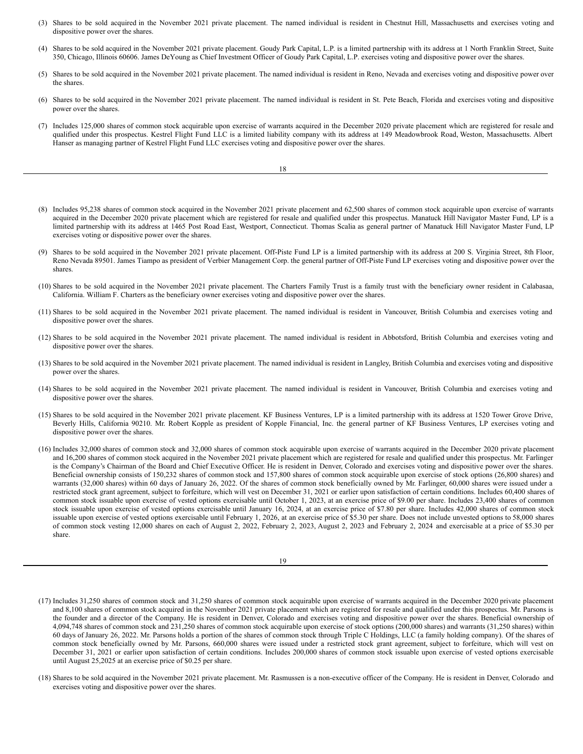- (3) Shares to be sold acquired in the November 2021 private placement. The named individual is resident in Chestnut Hill, Massachusetts and exercises voting and dispositive power over the shares.
- (4) Shares to be sold acquired in the November 2021 private placement. Goudy Park Capital, L.P. is a limited partnership with its address at 1 North Franklin Street, Suite 350, Chicago, Illinois 60606. James DeYoung as Chief Investment Officer of Goudy Park Capital, L.P. exercises voting and dispositive power over the shares.
- (5) Shares to be sold acquired in the November 2021 private placement. The named individual is resident in Reno, Nevada and exercises voting and dispositive power over the shares.
- (6) Shares to be sold acquired in the November 2021 private placement. The named individual is resident in St. Pete Beach, Florida and exercises voting and dispositive power over the shares.
- (7) Includes 125,000 shares of common stock acquirable upon exercise of warrants acquired in the December 2020 private placement which are registered for resale and qualified under this prospectus. Kestrel Flight Fund LLC is a limited liability company with its address at 149 Meadowbrook Road, Weston, Massachusetts. Albert Hanser as managing partner of Kestrel Flight Fund LLC exercises voting and dispositive power over the shares.

- (8) Includes 95,238 shares of common stock acquired in the November 2021 private placement and 62,500 shares of common stock acquirable upon exercise of warrants acquired in the December 2020 private placement which are registered for resale and qualified under this prospectus. Manatuck Hill Navigator Master Fund, LP is a limited partnership with its address at 1465 Post Road East, Westport, Connecticut. Thomas Scalia as general partner of Manatuck Hill Navigator Master Fund, LP exercises voting or dispositive power over the shares.
- (9) Shares to be sold acquired in the November 2021 private placement. Off-Piste Fund LP is a limited partnership with its address at 200 S. Virginia Street, 8th Floor, Reno Nevada 89501. James Tiampo as president of Verbier Management Corp. the general partner of Off-Piste Fund LP exercises voting and dispositive power over the shares.
- (10) Shares to be sold acquired in the November 2021 private placement. The Charters Family Trust is a family trust with the beneficiary owner resident in Calabasaa, California. William F. Charters as the beneficiary owner exercises voting and dispositive power over the shares.
- (11) Shares to be sold acquired in the November 2021 private placement. The named individual is resident in Vancouver, British Columbia and exercises voting and dispositive power over the shares.
- (12) Shares to be sold acquired in the November 2021 private placement. The named individual is resident in Abbotsford, British Columbia and exercises voting and dispositive power over the shares.
- (13) Shares to be sold acquired in the November 2021 private placement. The named individual is resident in Langley, British Columbia and exercises voting and dispositive power over the shares.
- (14) Shares to be sold acquired in the November 2021 private placement. The named individual is resident in Vancouver, British Columbia and exercises voting and dispositive power over the shares.
- (15) Shares to be sold acquired in the November 2021 private placement. KF Business Ventures, LP is a limited partnership with its address at 1520 Tower Grove Drive, Beverly Hills, California 90210. Mr. Robert Kopple as president of Kopple Financial, Inc. the general partner of KF Business Ventures, LP exercises voting and dispositive power over the shares.
- (16) Includes 32,000 shares of common stock and 32,000 shares of common stock acquirable upon exercise of warrants acquired in the December 2020 private placement and 16,200 shares of common stock acquired in the November 2021 private placement which are registered for resale and qualified under this prospectus. Mr. Farlinger is the Company's Chairman of the Board and Chief Executive Officer. He is resident in Denver, Colorado and exercises voting and dispositive power over the shares. Beneficial ownership consists of 150,232 shares of common stock and 157,800 shares of common stock acquirable upon exercise of stock options (26,800 shares) and warrants (32,000 shares) within 60 days of January 26, 2022. Of the shares of common stock beneficially owned by Mr. Farlinger, 60,000 shares were issued under a restricted stock grant agreement, subject to forfeiture, which will vest on December 31, 2021 or earlier upon satisfaction of certain conditions. Includes 60,400 shares of common stock issuable upon exercise of vested options exercisable until October 1, 2023, at an exercise price of \$9.00 per share. Includes 23,400 shares of common stock issuable upon exercise of vested options exercisable until January 16, 2024, at an exercise price of \$7.80 per share. Includes 42,000 shares of common stock issuable upon exercise of vested options exercisable until February 1, 2026, at an exercise price of \$5.30 per share. Does not include unvested options to 58,000 shares of common stock vesting 12,000 shares on each of August 2, 2022, February 2, 2023, August 2, 2023 and February 2, 2024 and exercisable at a price of \$5.30 per share.

$$
19\quad
$$

- (17) Includes 31,250 shares of common stock and 31,250 shares of common stock acquirable upon exercise of warrants acquired in the December 2020 private placement and 8,100 shares of common stock acquired in the November 2021 private placement which are registered for resale and qualified under this prospectus. Mr. Parsons is the founder and a director of the Company. He is resident in Denver, Colorado and exercises voting and dispositive power over the shares. Beneficial ownership of 4,094,748 shares of common stock and 231,250 shares of common stock acquirable upon exercise of stock options (200,000 shares) and warrants (31,250 shares) within 60 days of January 26, 2022. Mr. Parsons holds a portion of the shares of common stock through Triple C Holdings, LLC (a family holding company). Of the shares of common stock beneficially owned by Mr. Parsons, 660,000 shares were issued under a restricted stock grant agreement, subject to forfeiture, which will vest on December 31, 2021 or earlier upon satisfaction of certain conditions. Includes 200,000 shares of common stock issuable upon exercise of vested options exercisable until August 25,2025 at an exercise price of \$0.25 per share.
- (18) Shares to be sold acquired in the November 2021 private placement. Mr. Rasmussen is a non-executive officer of the Company. He is resident in Denver, Colorado and exercises voting and dispositive power over the shares.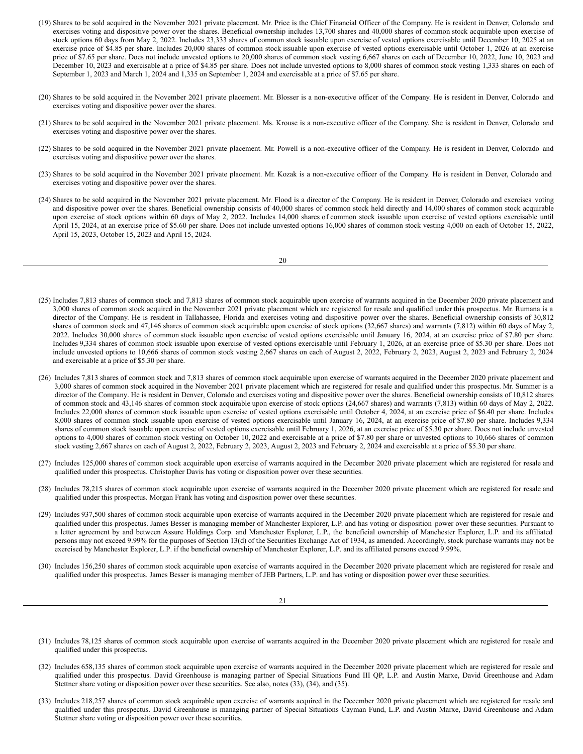- (19) Shares to be sold acquired in the November 2021 private placement. Mr. Price is the Chief Financial Officer of the Company. He is resident in Denver, Colorado and exercises voting and dispositive power over the shares. Beneficial ownership includes 13,700 shares and 40,000 shares of common stock acquirable upon exercise of stock options 60 days from May 2, 2022. Includes 23,333 shares of common stock issuable upon exercise of vested options exercisable until December 10, 2025 at an exercise price of \$4.85 per share. Includes 20,000 shares of common stock issuable upon exercise of vested options exercisable until October 1, 2026 at an exercise price of \$7.65 per share. Does not include unvested options to 20,000 shares of common stock vesting 6,667 shares on each of December 10, 2022, June 10, 2023 and December 10, 2023 and exercisable at a price of \$4.85 per share. Does not include unvested options to 8,000 shares of common stock vesting 1,333 shares on each of September 1, 2023 and March 1, 2024 and 1,335 on September 1, 2024 and exercisable at a price of \$7.65 per share.
- (20) Shares to be sold acquired in the November 2021 private placement. Mr. Blosser is a non-executive officer of the Company. He is resident in Denver, Colorado and exercises voting and dispositive power over the shares.
- (21) Shares to be sold acquired in the November 2021 private placement. Ms. Krouse is a non-executive officer of the Company. She is resident in Denver, Colorado and exercises voting and dispositive power over the shares.
- (22) Shares to be sold acquired in the November 2021 private placement. Mr. Powell is a non-executive officer of the Company. He is resident in Denver, Colorado and exercises voting and dispositive power over the shares.
- (23) Shares to be sold acquired in the November 2021 private placement. Mr. Kozak is a non-executive officer of the Company. He is resident in Denver, Colorado and exercises voting and dispositive power over the shares.
- (24) Shares to be sold acquired in the November 2021 private placement. Mr. Flood is a director of the Company. He is resident in Denver, Colorado and exercises voting and dispositive power over the shares. Beneficial ownership consists of 40,000 shares of common stock held directly and 14,000 shares of common stock acquirable upon exercise of stock options within 60 days of May 2, 2022. Includes 14,000 shares of common stock issuable upon exercise of vested options exercisable until April 15, 2024, at an exercise price of \$5.60 per share. Does not include unvested options 16,000 shares of common stock vesting 4,000 on each of October 15, 2022, April 15, 2023, October 15, 2023 and April 15, 2024.

20

- (25) Includes 7,813 shares of common stock and 7,813 shares of common stock acquirable upon exercise of warrants acquired in the December 2020 private placement and 3,000 shares of common stock acquired in the November 2021 private placement which are registered for resale and qualified under this prospectus. Mr. Rumana is a director of the Company. He is resident in Tallahassee, Florida and exercises voting and dispositive power over the shares. Beneficial ownership consists of 30,812 shares of common stock and 47,146 shares of common stock acquirable upon exercise of stock options (32,667 shares) and warrants (7,812) within 60 days of May 2, 2022. Includes 30,000 shares of common stock issuable upon exercise of vested options exercisable until January 16, 2024, at an exercise price of \$7.80 per share. Includes 9,334 shares of common stock issuable upon exercise of vested options exercisable until February 1, 2026, at an exercise price of \$5.30 per share. Does not include unvested options to 10,666 shares of common stock vesting 2,667 shares on each of August 2, 2022, February 2, 2023, August 2, 2023 and February 2, 2024 and exercisable at a price of \$5.30 per share.
- (26) Includes 7,813 shares of common stock and 7,813 shares of common stock acquirable upon exercise of warrants acquired in the December 2020 private placement and 3,000 shares of common stock acquired in the November 2021 private placement which are registered for resale and qualified under this prospectus. Mr. Summer is a director of the Company. He is resident in Denver, Colorado and exercises voting and dispositive power over the shares. Beneficial ownership consists of 10,812 shares of common stock and 43,146 shares of common stock acquirable upon exercise of stock options (24,667 shares) and warrants (7,813) within 60 days of May 2, 2022. Includes 22,000 shares of common stock issuable upon exercise of vested options exercisable until October 4, 2024, at an exercise price of \$6.40 per share. Includes 8,000 shares of common stock issuable upon exercise of vested options exercisable until January 16, 2024, at an exercise price of \$7.80 per share. Includes 9,334 shares of common stock issuable upon exercise of vested options exercisable until February 1, 2026, at an exercise price of \$5.30 per share. Does not include unvested options to 4,000 shares of common stock vesting on October 10, 2022 and exercisable at a price of \$7.80 per share or unvested options to 10,666 shares of common stock vesting 2,667 shares on each of August 2, 2022, February 2, 2023, August 2, 2023 and February 2, 2024 and exercisable at a price of \$5.30 per share.
- (27) Includes 125,000 shares of common stock acquirable upon exercise of warrants acquired in the December 2020 private placement which are registered for resale and qualified under this prospectus. Christopher Davis has voting or disposition power over these securities.
- (28) Includes 78,215 shares of common stock acquirable upon exercise of warrants acquired in the December 2020 private placement which are registered for resale and qualified under this prospectus. Morgan Frank has voting and disposition power over these securities.
- (29) Includes 937,500 shares of common stock acquirable upon exercise of warrants acquired in the December 2020 private placement which are registered for resale and qualified under this prospectus. James Besser is managing member of Manchester Explorer, L.P. and has voting or disposition power over these securities. Pursuant to a letter agreement by and between Assure Holdings Corp. and Manchester Explorer, L.P., the beneficial ownership of Manchester Explorer, L.P. and its affiliated persons may not exceed 9.99% for the purposes of Section 13(d) of the Securities Exchange Act of 1934, as amended. Accordingly, stock purchase warrants may not be exercised by Manchester Explorer, L.P. if the beneficial ownership of Manchester Explorer, L.P. and its affiliated persons exceed 9.99%.
- (30) Includes 156,250 shares of common stock acquirable upon exercise of warrants acquired in the December 2020 private placement which are registered for resale and qualified under this prospectus. James Besser is managing member of JEB Partners, L.P. and has voting or disposition power over these securities.

21

- (31) Includes 78,125 shares of common stock acquirable upon exercise of warrants acquired in the December 2020 private placement which are registered for resale and qualified under this prospectus.
- (32) Includes 658,135 shares of common stock acquirable upon exercise of warrants acquired in the December 2020 private placement which are registered for resale and qualified under this prospectus. David Greenhouse is managing partner of Special Situations Fund III QP, L.P. and Austin Marxe, David Greenhouse and Adam Stettner share voting or disposition power over these securities. See also, notes (33), (34), and (35).
- (33) Includes 218,257 shares of common stock acquirable upon exercise of warrants acquired in the December 2020 private placement which are registered for resale and qualified under this prospectus. David Greenhouse is managing partner of Special Situations Cayman Fund, L.P. and Austin Marxe, David Greenhouse and Adam Stettner share voting or disposition power over these securities.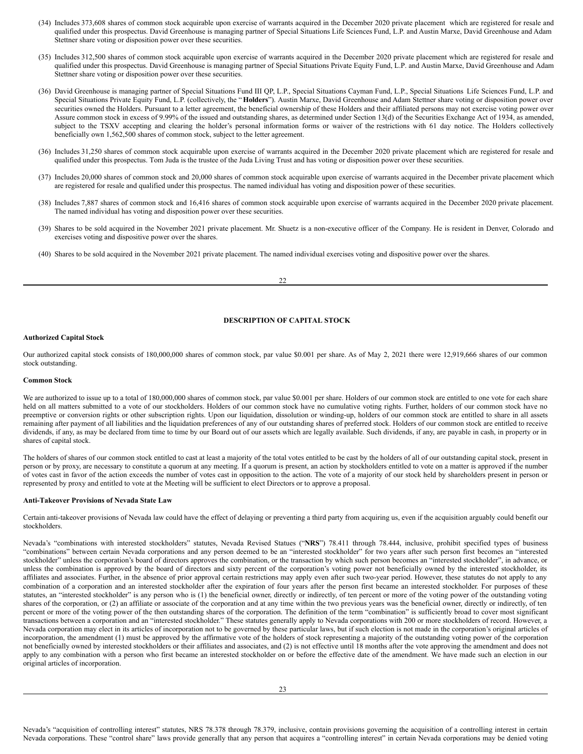- (34) Includes 373,608 shares of common stock acquirable upon exercise of warrants acquired in the December 2020 private placement which are registered for resale and qualified under this prospectus. David Greenhouse is managing partner of Special Situations Life Sciences Fund, L.P. and Austin Marxe, David Greenhouse and Adam Stettner share voting or disposition power over these securities.
- (35) Includes 312,500 shares of common stock acquirable upon exercise of warrants acquired in the December 2020 private placement which are registered for resale and qualified under this prospectus. David Greenhouse is managing partner of Special Situations Private Equity Fund, L.P. and Austin Marxe, David Greenhouse and Adam Stettner share voting or disposition power over these securities.
- (36) David Greenhouse is managing partner of Special Situations Fund III QP, L.P., Special Situations Cayman Fund, L.P., Special Situations Life Sciences Fund, L.P. and Special Situations Private Equity Fund, L.P. (collectively, the "**Holders**"). Austin Marxe, David Greenhouse and Adam Stettner share voting or disposition power over securities owned the Holders. Pursuant to a letter agreement, the beneficial ownership of these Holders and their affiliated persons may not exercise voting power over Assure common stock in excess of 9.99% of the issued and outstanding shares, as determined under Section 13(d) of the Securities Exchange Act of 1934, as amended, subject to the TSXV accepting and clearing the holder's personal information forms or waiver of the restrictions with 61 day notice. The Holders collectively beneficially own 1,562,500 shares of common stock, subject to the letter agreement.
- (36) Includes 31,250 shares of common stock acquirable upon exercise of warrants acquired in the December 2020 private placement which are registered for resale and qualified under this prospectus. Tom Juda is the trustee of the Juda Living Trust and has voting or disposition power over these securities.
- (37) Includes 20,000 shares of common stock and 20,000 shares of common stock acquirable upon exercise of warrants acquired in the December private placement which are registered for resale and qualified under this prospectus. The named individual has voting and disposition power of these securities.
- (38) Includes 7,887 shares of common stock and 16,416 shares of common stock acquirable upon exercise of warrants acquired in the December 2020 private placement. The named individual has voting and disposition power over these securities.
- (39) Shares to be sold acquired in the November 2021 private placement. Mr. Shuetz is a non-executive officer of the Company. He is resident in Denver, Colorado and exercises voting and dispositive power over the shares.
- (40) Shares to be sold acquired in the November 2021 private placement. The named individual exercises voting and dispositive power over the shares.

#### $22$

## <span id="page-14-0"></span>**DESCRIPTION OF CAPITAL STOCK**

### **Authorized Capital Stock**

Our authorized capital stock consists of 180,000,000 shares of common stock, par value \$0.001 per share. As of May 2, 2021 there were 12,919,666 shares of our common stock outstanding.

### **Common Stock**

We are authorized to issue up to a total of 180,000,000 shares of common stock, par value \$0,001 per share. Holders of our common stock are entitled to one vote for each share held on all matters submitted to a vote of our stockholders. Holders of our common stock have no cumulative voting rights. Further, holders of our common stock have no preemptive or conversion rights or other subscription rights. Upon our liquidation, dissolution or winding-up, holders of our common stock are entitled to share in all assets remaining after payment of all liabilities and the liquidation preferences of any of our outstanding shares of preferred stock. Holders of our common stock are entitled to receive dividends, if any, as may be declared from time to time by our Board out of our assets which are legally available. Such dividends, if any, are payable in cash, in property or in shares of capital stock.

The holders of shares of our common stock entitled to cast at least a majority of the total votes entitled to be cast by the holders of all of our outstanding capital stock, present in person or by proxy, are necessary to constitute a quorum at any meeting. If a quorum is present, an action by stockholders entitled to vote on a matter is approved if the number of votes cast in favor of the action exceeds the number of votes cast in opposition to the action. The vote of a majority of our stock held by shareholders present in person or represented by proxy and entitled to vote at the Meeting will be sufficient to elect Directors or to approve a proposal.

#### **Anti-Takeover Provisions of Nevada State Law**

Certain anti-takeover provisions of Nevada law could have the effect of delaying or preventing a third party from acquiring us, even if the acquisition arguably could benefit our stockholders.

Nevada's "combinations with interested stockholders" statutes, Nevada Revised Statues ("**NRS**") 78.411 through 78.444, inclusive, prohibit specified types of business "combinations" between certain Nevada corporations and any person deemed to be an "interested stockholder" for two years after such person first becomes an "interested stockholder" unless the corporation's board of directors approves the combination, or the transaction by which such person becomes an "interested stockholder", in advance, or unless the combination is approved by the board of directors and sixty percent of the corporation's voting power not beneficially owned by the interested stockholder, its affiliates and associates. Further, in the absence of prior approval certain restrictions may apply even after such two-year period. However, these statutes do not apply to any combination of a corporation and an interested stockholder after the expiration of four years after the person first became an interested stockholder. For purposes of these statutes, an "interested stockholder" is any person who is (1) the beneficial owner, directly or indirectly, of ten percent or more of the voting power of the outstanding voting shares of the corporation, or (2) an affiliate or associate of the corporation and at any time within the two previous years was the beneficial owner, directly or indirectly, of ten percent or more of the voting power of the then outstanding shares of the corporation. The definition of the term "combination" is sufficiently broad to cover most significant transactions between a corporation and an "interested stockholder." These statutes generally apply to Nevada corporations with 200 or more stockholders of record. However, a Nevada corporation may elect in its articles of incorporation not to be governed by these particular laws, but if such election is not made in the corporation's original articles of incorporation, the amendment (1) must be approved by the affirmative vote of the holders of stock representing a majority of the outstanding voting power of the corporation not beneficially owned by interested stockholders or their affiliates and associates, and (2) is not effective until 18 months after the vote approving the amendment and does not apply to any combination with a person who first became an interested stockholder on or before the effective date of the amendment. We have made such an election in our original articles of incorporation.

Nevada's "acquisition of controlling interest" statutes, NRS 78.378 through 78.379, inclusive, contain provisions governing the acquisition of a controlling interest in certain Nevada corporations. These "control share" laws provide generally that any person that acquires a "controlling interest" in certain Nevada corporations may be denied voting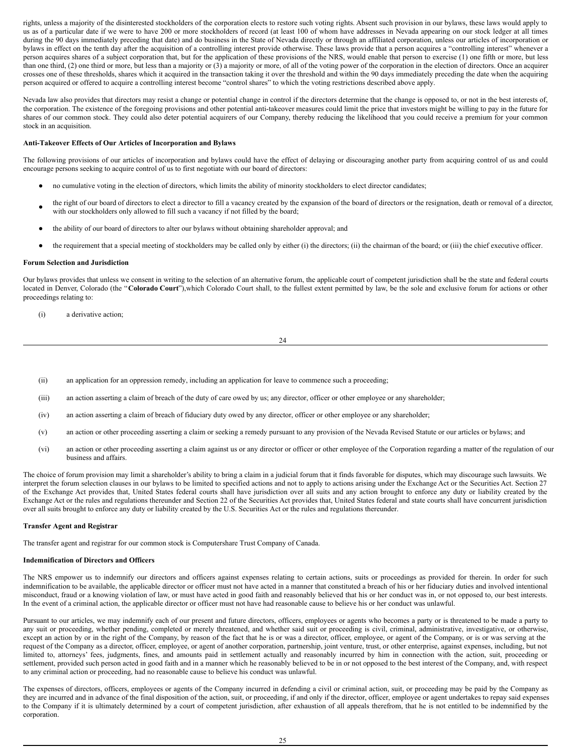rights, unless a majority of the disinterested stockholders of the corporation elects to restore such voting rights. Absent such provision in our bylaws, these laws would apply to us as of a particular date if we were to have 200 or more stockholders of record (at least 100 of whom have addresses in Nevada appearing on our stock ledger at all times during the 90 days immediately preceding that date) and do business in the State of Nevada directly or through an affiliated corporation, unless our articles of incorporation or bylaws in effect on the tenth day after the acquisition of a controlling interest provide otherwise. These laws provide that a person acquires a "controlling interest" whenever a person acquires shares of a subject corporation that, but for the application of these provisions of the NRS, would enable that person to exercise (1) one fifth or more, but less than one third, (2) one third or more, but less than a majority or (3) a majority or more, of all of the voting power of the corporation in the election of directors. Once an acquirer crosses one of these thresholds, shares which it acquired in the transaction taking it over the threshold and within the 90 days immediately preceding the date when the acquiring person acquired or offered to acquire a controlling interest become "control shares" to which the voting restrictions described above apply.

Nevada law also provides that directors may resist a change or potential change in control if the directors determine that the change is opposed to, or not in the best interests of, the corporation. The existence of the foregoing provisions and other potential anti-takeover measures could limit the price that investors might be willing to pay in the future for shares of our common stock. They could also deter potential acquirers of our Company, thereby reducing the likelihood that you could receive a premium for your common stock in an acquisition.

## **Anti-Takeover Effects of Our Articles of Incorporation and Bylaws**

The following provisions of our articles of incorporation and bylaws could have the effect of delaying or discouraging another party from acquiring control of us and could encourage persons seeking to acquire control of us to first negotiate with our board of directors:

- no cumulative voting in the election of directors, which limits the ability of minority stockholders to elect director candidates;
- the right of our board of directors to elect a director to fill a vacancy created by the expansion of the board of directors or the resignation, death or removal of a director, with our stockholders only allowed to fill such a vacancy if not filled by the board;
- the ability of our board of directors to alter our bylaws without obtaining shareholder approval; and
- the requirement that a special meeting of stockholders may be called only by either (i) the directors; (ii) the chairman of the board; or (iii) the chief executive officer.

### **Forum Selection and Jurisdiction**

Our bylaws provides that unless we consent in writing to the selection of an alternative forum, the applicable court of competent jurisdiction shall be the state and federal courts located in Denver, Colorado (the "**Colorado Court**"),which Colorado Court shall, to the fullest extent permitted by law, be the sole and exclusive forum for actions or other proceedings relating to:

(i) a derivative action;

 $24$ 

- (ii) an application for an oppression remedy, including an application for leave to commence such a proceeding;
- (iii) an action asserting a claim of breach of the duty of care owed by us; any director, officer or other employee or any shareholder;
- (iv) an action asserting a claim of breach of fiduciary duty owed by any director, officer or other employee or any shareholder;
- (v) an action or other proceeding asserting a claim or seeking a remedy pursuant to any provision of the Nevada Revised Statute or our articles or bylaws; and
- (vi) an action or other proceeding asserting a claim against us or any director or officer or other employee of the Corporation regarding a matter of the regulation of our business and affairs.

The choice of forum provision may limit a shareholder's ability to bring a claim in a judicial forum that it finds favorable for disputes, which may discourage such lawsuits. We interpret the forum selection clauses in our bylaws to be limited to specified actions and not to apply to actions arising under the Exchange Act or the Securities Act. Section 27 of the Exchange Act provides that, United States federal courts shall have jurisdiction over all suits and any action brought to enforce any duty or liability created by the Exchange Act or the rules and regulations thereunder and Section 22 of the Securities Act provides that, United States federal and state courts shall have concurrent jurisdiction over all suits brought to enforce any duty or liability created by the U.S. Securities Act or the rules and regulations thereunder.

#### **Transfer Agent and Registrar**

The transfer agent and registrar for our common stock is Computershare Trust Company of Canada.

### **Indemnification of Directors and Officers**

The NRS empower us to indemnify our directors and officers against expenses relating to certain actions, suits or proceedings as provided for therein. In order for such indemnification to be available, the applicable director or officer must not have acted in a manner that constituted a breach of his or her fiduciary duties and involved intentional misconduct, fraud or a knowing violation of law, or must have acted in good faith and reasonably believed that his or her conduct was in, or not opposed to, our best interests. In the event of a criminal action, the applicable director or officer must not have had reasonable cause to believe his or her conduct was unlawful.

Pursuant to our articles, we may indemnify each of our present and future directors, officers, employees or agents who becomes a party or is threatened to be made a party to any suit or proceeding, whether pending, completed or merely threatened, and whether said suit or proceeding is civil, criminal, administrative, investigative, or otherwise, except an action by or in the right of the Company, by reason of the fact that he is or was a director, officer, employee, or agent of the Company, or is or was serving at the request of the Company as a director, officer, employee, or agent of another corporation, partnership, joint venture, trust, or other enterprise, against expenses, including, but not limited to, attorneys' fees, judgments, fines, and amounts paid in settlement actually and reasonably incurred by him in connection with the action, suit, proceeding or settlement, provided such person acted in good faith and in a manner which he reasonably believed to be in or not opposed to the best interest of the Company, and, with respect to any criminal action or proceeding, had no reasonable cause to believe his conduct was unlawful.

The expenses of directors, officers, employees or agents of the Company incurred in defending a civil or criminal action, suit, or proceeding may be paid by the Company as they are incurred and in advance of the final disposition of the action, suit, or proceeding, if and only if the director, officer, employee or agent undertakes to repay said expenses to the Company if it is ultimately determined by a court of competent jurisdiction, after exhaustion of all appeals therefrom, that he is not entitled to be indemnified by the corporation.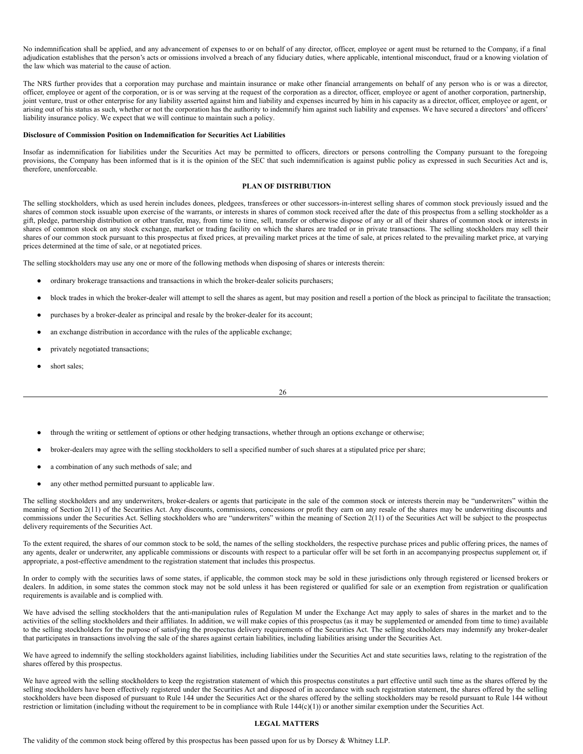No indemnification shall be applied, and any advancement of expenses to or on behalf of any director, officer, employee or agent must be returned to the Company, if a final adjudication establishes that the person's acts or omissions involved a breach of any fiduciary duties, where applicable, intentional misconduct, fraud or a knowing violation of the law which was material to the cause of action.

The NRS further provides that a corporation may purchase and maintain insurance or make other financial arrangements on behalf of any person who is or was a director, officer, employee or agent of the corporation, or is or was serving at the request of the corporation as a director, officer, employee or agent of another corporation, partnership, joint venture, trust or other enterprise for any liability asserted against him and liability and expenses incurred by him in his capacity as a director, officer, employee or agent, or arising out of his status as such, whether or not the corporation has the authority to indemnify him against such liability and expenses. We have secured a directors' and officers' liability insurance policy. We expect that we will continue to maintain such a policy.

#### **Disclosure of Commission Position on Indemnification for Securities Act Liabilities**

Insofar as indemnification for liabilities under the Securities Act may be permitted to officers, directors or persons controlling the Company pursuant to the foregoing provisions, the Company has been informed that is it is the opinion of the SEC that such indemnification is against public policy as expressed in such Securities Act and is, therefore, unenforceable.

## <span id="page-16-0"></span>**PLAN OF DISTRIBUTION**

The selling stockholders, which as used herein includes donees, pledgees, transferees or other successors-in-interest selling shares of common stock previously issued and the shares of common stock issuable upon exercise of the warrants, or interests in shares of common stock received after the date of this prospectus from a selling stockholder as a gift, pledge, partnership distribution or other transfer, may, from time to time, sell, transfer or otherwise dispose of any or all of their shares of common stock or interests in shares of common stock on any stock exchange, market or trading facility on which the shares are traded or in private transactions. The selling stockholders may sell their shares of our common stock pursuant to this prospectus at fixed prices, at prevailing market prices at the time of sale, at prices related to the prevailing market price, at varying prices determined at the time of sale, or at negotiated prices.

The selling stockholders may use any one or more of the following methods when disposing of shares or interests therein:

- ordinary brokerage transactions and transactions in which the broker-dealer solicits purchasers;
- block trades in which the broker-dealer will attempt to sell the shares as agent, but may position and resell a portion of the block as principal to facilitate the transaction;
- purchases by a broker-dealer as principal and resale by the broker-dealer for its account;
- an exchange distribution in accordance with the rules of the applicable exchange;
- privately negotiated transactions;
- short sales;

26

- through the writing or settlement of options or other hedging transactions, whether through an options exchange or otherwise;
- broker-dealers may agree with the selling stockholders to sell a specified number of such shares at a stipulated price per share;
- a combination of any such methods of sale; and
- any other method permitted pursuant to applicable law.

The selling stockholders and any underwriters, broker-dealers or agents that participate in the sale of the common stock or interests therein may be "underwriters" within the meaning of Section 2(11) of the Securities Act. Any discounts, commissions, concessions or profit they earn on any resale of the shares may be underwriting discounts and commissions under the Securities Act. Selling stockholders who are "underwriters" within the meaning of Section 2(11) of the Securities Act will be subject to the prospectus delivery requirements of the Securities Act.

To the extent required, the shares of our common stock to be sold, the names of the selling stockholders, the respective purchase prices and public offering prices, the names of any agents, dealer or underwriter, any applicable commissions or discounts with respect to a particular offer will be set forth in an accompanying prospectus supplement or, if appropriate, a post-effective amendment to the registration statement that includes this prospectus.

In order to comply with the securities laws of some states, if applicable, the common stock may be sold in these jurisdictions only through registered or licensed brokers or dealers. In addition, in some states the common stock may not be sold unless it has been registered or qualified for sale or an exemption from registration or qualification requirements is available and is complied with.

We have advised the selling stockholders that the anti-manipulation rules of Regulation M under the Exchange Act may apply to sales of shares in the market and to the activities of the selling stockholders and their affiliates. In addition, we will make copies of this prospectus (as it may be supplemented or amended from time to time) available to the selling stockholders for the purpose of satisfying the prospectus delivery requirements of the Securities Act. The selling stockholders may indemnify any broker-dealer that participates in transactions involving the sale of the shares against certain liabilities, including liabilities arising under the Securities Act.

We have agreed to indemnify the selling stockholders against liabilities, including liabilities under the Securities Act and state securities laws, relating to the registration of the shares offered by this prospectus.

We have agreed with the selling stockholders to keep the registration statement of which this prospectus constitutes a part effective until such time as the shares offered by the selling stockholders have been effectively registered under the Securities Act and disposed of in accordance with such registration statement, the shares offered by the selling stockholders have been disposed of pursuant to Rule 144 under the Securities Act or the shares offered by the selling stockholders may be resold pursuant to Rule 144 without restriction or limitation (including without the requirement to be in compliance with Rule 144(c)(1)) or another similar exemption under the Securities Act.

## <span id="page-16-1"></span>**LEGAL MATTERS**

The validity of the common stock being offered by this prospectus has been passed upon for us by Dorsey & Whitney LLP.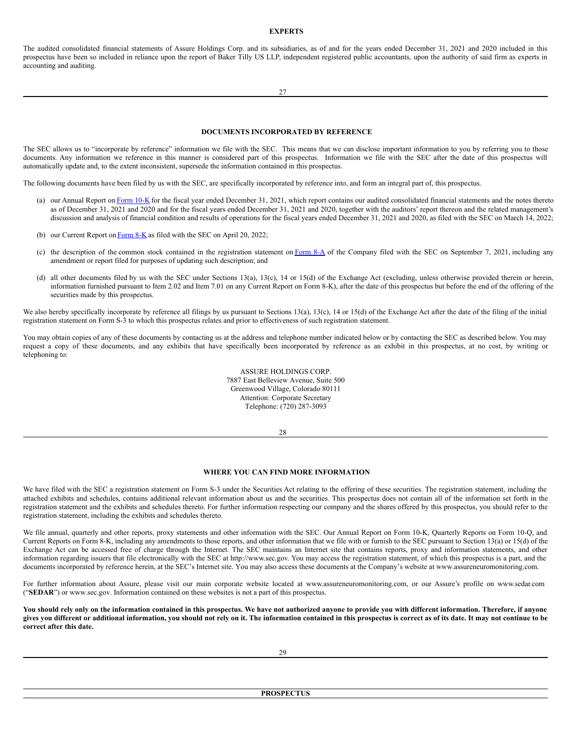## <span id="page-17-0"></span>**EXPERTS**

The audited consolidated financial statements of Assure Holdings Corp. and its subsidiaries, as of and for the years ended December 31, 2021 and 2020 included in this prospectus have been so included in reliance upon the report of Baker Tilly US LLP, independent registered public accountants, upon the authority of said firm as experts in accounting and auditing.

## <span id="page-17-1"></span>**DOCUMENTS INCORPORATED BY REFERENCE**

The SEC allows us to "incorporate by reference" information we file with the SEC. This means that we can disclose important information to you by referring you to those documents. Any information we reference in this manner is considered part of this prospectus. Information we file with the SEC after the date of this prospectus will automatically update and, to the extent inconsistent, supersede the information contained in this prospectus.

The following documents have been filed by us with the SEC, are specifically incorporated by reference into, and form an integral part of, this prospectus.

- (a) our Annual Report on [Form](https://www.sec.gov/ix?doc=/Archives/edgar/data/1798270/000155837022003471/ionm-20211231x10k.htm) 10-K for the fiscal year ended December 31, 2021, which report contains our audited consolidated financial statements and the notes thereto as of December 31, 2021 and 2020 and for the fiscal years ended December 31, 2021 and 2020, together with the auditors' report thereon and the related management's discussion and analysis of financial condition and results of operations for the fiscal years ended December 31, 2021 and 2020, as filed with the SEC on March 14, 2022;
- (b) our Current Report on  $\overline{Form 8-K}$  $\overline{Form 8-K}$  $\overline{Form 8-K}$  as filed with the SEC on April 20, 2022;
- (c) the description of the common stock contained in the registration statement on [Form](https://www.sec.gov/Archives/edgar/data/1798270/000155837021012261/tmb-20210907x8a12b.htm) 8-A of the Company filed with the SEC on September 7, 2021, including any amendment or report filed for purposes of updating such description; and
- (d) all other documents filed by us with the SEC under Sections 13(a), 13(c), 14 or 15(d) of the Exchange Act (excluding, unless otherwise provided therein or herein, information furnished pursuant to Item 2.02 and Item 7.01 on any Current Report on Form 8-K), after the date of this prospectus but before the end of the offering of the securities made by this prospectus.

We also hereby specifically incorporate by reference all filings by us pursuant to Sections 13(a), 13(c), 14 or 15(d) of the Exchange Act after the date of the filing of the initial registration statement on Form S-3 to which this prospectus relates and prior to effectiveness of such registration statement.

You may obtain copies of any of these documents by contacting us at the address and telephone number indicated below or by contacting the SEC as described below. You may request a copy of these documents, and any exhibits that have specifically been incorporated by reference as an exhibit in this prospectus, at no cost, by writing or telephoning to:

> ASSURE HOLDINGS CORP. 7887 East Belleview Avenue, Suite 500 Greenwood Village, Colorado 80111 Attention: Corporate Secretary Telephone: (720) 287-3093

> > 28

### <span id="page-17-2"></span>**WHERE YOU CAN FIND MORE INFORMATION**

We have filed with the SEC a registration statement on Form S-3 under the Securities Act relating to the offering of these securities. The registration statement, including the attached exhibits and schedules, contains additional relevant information about us and the securities. This prospectus does not contain all of the information set forth in the registration statement and the exhibits and schedules thereto. For further information respecting our company and the shares offered by this prospectus, you should refer to the registration statement, including the exhibits and schedules thereto.

We file annual, quarterly and other reports, proxy statements and other information with the SEC. Our Annual Report on Form 10-K, Quarterly Reports on Form 10-Q, and Current Reports on Form 8-K, including any amendments to those reports, and other information that we file with or furnish to the SEC pursuant to Section 13(a) or 15(d) of the Exchange Act can be accessed free of charge through the Internet. The SEC maintains an Internet site that contains reports, proxy and information statements, and other information regarding issuers that file electronically with the SEC at http://www.sec.gov. You may access the registration statement, of which this prospectus is a part, and the documents incorporated by reference herein, at the SEC's Internet site. You may also access these documents at the Company's website at www.assureneuromonitoring.com.

For further information about Assure, please visit our main corporate website located at www.assureneuromonitoring.com, or our Assure's profile on www.sedar.com ("**SEDAR**") or www.sec.gov. Information contained on these websites is not a part of this prospectus.

You should rely only on the information contained in this prospectus. We have not authorized anyone to provide you with different information. Therefore, if anyone gives you different or additional information, you should not rely on it. The information contained in this prospectus is correct as of its date. It may not continue to be **correct after this date.**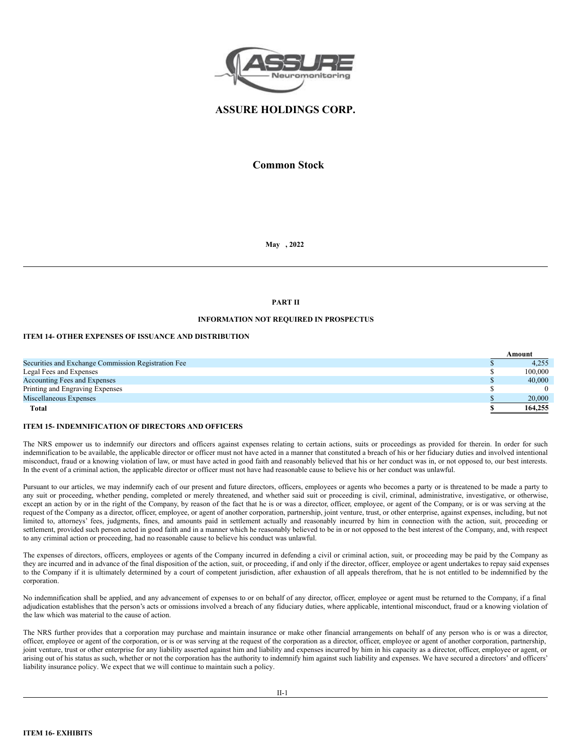

# **ASSURE HOLDINGS CORP.**

**Common Stock**

**May , 2022**

## **PART II**

## **INFORMATION NOT REQUIRED IN PROSPECTUS**

## **ITEM 14- OTHER EXPENSES OF ISSUANCE AND DISTRIBUTION**

|                                                     | Amount  |
|-----------------------------------------------------|---------|
| Securities and Exchange Commission Registration Fee | 4,255   |
| Legal Fees and Expenses                             | 100,000 |
| Accounting Fees and Expenses                        | 40,000  |
| Printing and Engraving Expenses                     |         |
| Miscellaneous Expenses                              | 20,000  |
| Total                                               | 164,255 |

#### **ITEM 15- INDEMNIFICATION OF DIRECTORS AND OFFICERS**

The NRS empower us to indemnify our directors and officers against expenses relating to certain actions, suits or proceedings as provided for therein. In order for such indemnification to be available, the applicable director or officer must not have acted in a manner that constituted a breach of his or her fiduciary duties and involved intentional misconduct, fraud or a knowing violation of law, or must have acted in good faith and reasonably believed that his or her conduct was in, or not opposed to, our best interests. In the event of a criminal action, the applicable director or officer must not have had reasonable cause to believe his or her conduct was unlawful.

Pursuant to our articles, we may indemnify each of our present and future directors, officers, employees or agents who becomes a party or is threatened to be made a party to any suit or proceeding, whether pending, completed or merely threatened, and whether said suit or proceeding is civil, criminal, administrative, investigative, or otherwise, except an action by or in the right of the Company, by reason of the fact that he is or was a director, officer, employee, or agent of the Company, or is or was serving at the request of the Company as a director, officer, employee, or agent of another corporation, partnership, joint venture, trust, or other enterprise, against expenses, including, but not limited to, attorneys' fees, judgments, fines, and amounts paid in settlement actually and reasonably incurred by him in connection with the action, suit, proceeding or settlement, provided such person acted in good faith and in a manner which he reasonably believed to be in or not opposed to the best interest of the Company, and, with respect to any criminal action or proceeding, had no reasonable cause to believe his conduct was unlawful.

The expenses of directors, officers, employees or agents of the Company incurred in defending a civil or criminal action, suit, or proceeding may be paid by the Company as they are incurred and in advance of the final disposition of the action, suit, or proceeding, if and only if the director, officer, employee or agent undertakes to repay said expenses to the Company if it is ultimately determined by a court of competent jurisdiction, after exhaustion of all appeals therefrom, that he is not entitled to be indemnified by the corporation.

No indemnification shall be applied, and any advancement of expenses to or on behalf of any director, officer, employee or agent must be returned to the Company, if a final adjudication establishes that the person's acts or omissions involved a breach of any fiduciary duties, where applicable, intentional misconduct, fraud or a knowing violation of the law which was material to the cause of action.

The NRS further provides that a corporation may purchase and maintain insurance or make other financial arrangements on behalf of any person who is or was a director, officer, employee or agent of the corporation, or is or was serving at the request of the corporation as a director, officer, employee or agent of another corporation, partnership, joint venture, trust or other enterprise for any liability asserted against him and liability and expenses incurred by him in his capacity as a director, officer, employee or agent, or arising out of his status as such, whether or not the corporation has the authority to indemnify him against such liability and expenses. We have secured a directors' and officers' liability insurance policy. We expect that we will continue to maintain such a policy.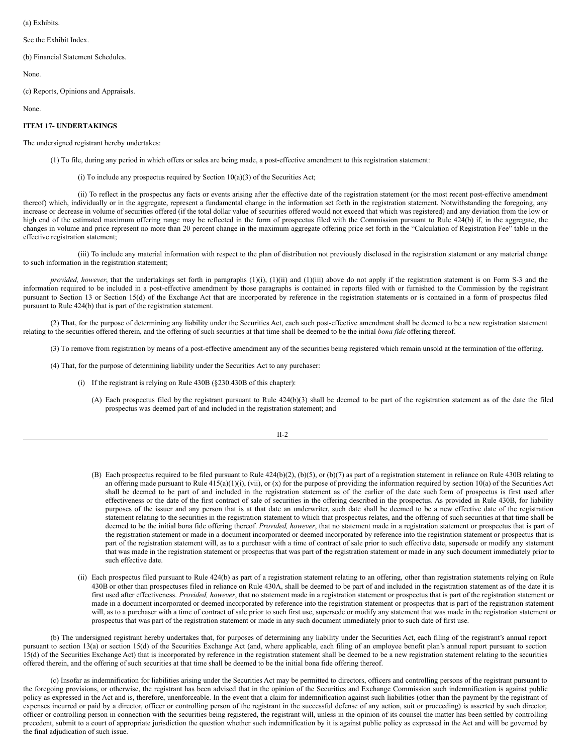(a) Exhibits.

See the Exhibit Index.

(b) Financial Statement Schedules.

None.

(c) Reports, Opinions and Appraisals.

None.

## **ITEM 17- UNDERTAKINGS**

The undersigned registrant hereby undertakes:

(1) To file, during any period in which offers or sales are being made, a post-effective amendment to this registration statement:

(i) To include any prospectus required by Section  $10(a)(3)$  of the Securities Act;

(ii) To reflect in the prospectus any facts or events arising after the effective date of the registration statement (or the most recent post-effective amendment thereof) which, individually or in the aggregate, represent a fundamental change in the information set forth in the registration statement. Notwithstanding the foregoing, any increase or decrease in volume of securities offered (if the total dollar value of securities offered would not exceed that which was registered) and any deviation from the low or high end of the estimated maximum offering range may be reflected in the form of prospectus filed with the Commission pursuant to Rule 424(b) if, in the aggregate, the changes in volume and price represent no more than 20 percent change in the maximum aggregate offering price set forth in the "Calculation of Registration Fee" table in the effective registration statement;

(iii) To include any material information with respect to the plan of distribution not previously disclosed in the registration statement or any material change to such information in the registration statement;

*provided, however*, that the undertakings set forth in paragraphs (1)(i), (1)(ii) and (1)(iii) above do not apply if the registration statement is on Form S-3 and the information required to be included in a post-effective amendment by those paragraphs is contained in reports filed with or furnished to the Commission by the registrant pursuant to Section 13 or Section 15(d) of the Exchange Act that are incorporated by reference in the registration statements or is contained in a form of prospectus filed pursuant to Rule 424(b) that is part of the registration statement.

(2) That, for the purpose of determining any liability under the Securities Act, each such post-effective amendment shall be deemed to be a new registration statement relating to the securities offered therein, and the offering of such securities at that time shall be deemed to be the initial *bona fide* offering thereof.

(3) To remove from registration by means of a post-effective amendment any of the securities being registered which remain unsold at the termination of the offering.

(4) That, for the purpose of determining liability under the Securities Act to any purchaser:

- (i) If the registrant is relying on Rule 430B (§230.430B of this chapter):
	- (A) Each prospectus filed by the registrant pursuant to Rule 424(b)(3) shall be deemed to be part of the registration statement as of the date the filed prospectus was deemed part of and included in the registration statement; and

II-2

- (B) Each prospectus required to be filed pursuant to Rule  $424(b)(2)$ , (b)(5), or (b)(7) as part of a registration statement in reliance on Rule 430B relating to an offering made pursuant to Rule  $415(a)(1)(i)$ , (vii), or (x) for the purpose of providing the information required by section 10(a) of the Securities Act shall be deemed to be part of and included in the registration statement as of the earlier of the date such form of prospectus is first used after effectiveness or the date of the first contract of sale of securities in the offering described in the prospectus. As provided in Rule 430B, for liability purposes of the issuer and any person that is at that date an underwriter, such date shall be deemed to be a new effective date of the registration statement relating to the securities in the registration statement to which that prospectus relates, and the offering of such securities at that time shall be deemed to be the initial bona fide offering thereof. *Provided, however*, that no statement made in a registration statement or prospectus that is part of the registration statement or made in a document incorporated or deemed incorporated by reference into the registration statement or prospectus that is part of the registration statement will, as to a purchaser with a time of contract of sale prior to such effective date, supersede or modify any statement that was made in the registration statement or prospectus that was part of the registration statement or made in any such document immediately prior to such effective date.
- (ii) Each prospectus filed pursuant to Rule 424(b) as part of a registration statement relating to an offering, other than registration statements relying on Rule 430B or other than prospectuses filed in reliance on Rule 430A, shall be deemed to be part of and included in the registration statement as of the date it is first used after effectiveness. *Provided, however*, that no statement made in a registration statement or prospectus that is part of the registration statement or made in a document incorporated or deemed incorporated by reference into the registration statement or prospectus that is part of the registration statement will, as to a purchaser with a time of contract of sale prior to such first use, supersede or modify any statement that was made in the registration statement or prospectus that was part of the registration statement or made in any such document immediately prior to such date of first use.

(b) The undersigned registrant hereby undertakes that, for purposes of determining any liability under the Securities Act, each filing of the registrant's annual report pursuant to section 13(a) or section 15(d) of the Securities Exchange Act (and, where applicable, each filing of an employee benefit plan's annual report pursuant to section 15(d) of the Securities Exchange Act) that is incorporated by reference in the registration statement shall be deemed to be a new registration statement relating to the securities offered therein, and the offering of such securities at that time shall be deemed to be the initial bona fide offering thereof.

(c) Insofar as indemnification for liabilities arising under the Securities Act may be permitted to directors, officers and controlling persons of the registrant pursuant to the foregoing provisions, or otherwise, the registrant has been advised that in the opinion of the Securities and Exchange Commission such indemnification is against public policy as expressed in the Act and is, therefore, unenforceable. In the event that a claim for indemnification against such liabilities (other than the payment by the registrant of expenses incurred or paid by a director, officer or controlling person of the registrant in the successful defense of any action, suit or proceeding) is asserted by such director, officer or controlling person in connection with the securities being registered, the registrant will, unless in the opinion of its counsel the matter has been settled by controlling precedent, submit to a court of appropriate jurisdiction the question whether such indemnification by it is against public policy as expressed in the Act and will be governed by the final adjudication of such issue.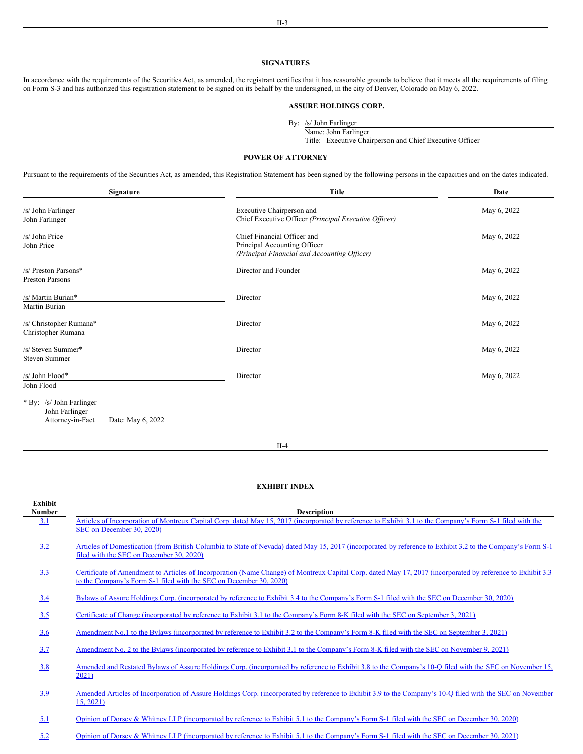## **SIGNATURES**

In accordance with the requirements of the Securities Act, as amended, the registrant certifies that it has reasonable grounds to believe that it meets all the requirements of filing on Form S-3 and has authorized this registration statement to be signed on its behalf by the undersigned, in the city of Denver, Colorado on May 6, 2022.

## **ASSURE HOLDINGS CORP.**

By: /s/ John Farlinger

Name: John Farlinger

Title: Executive Chairperson and Chief Executive Officer

## **POWER OF ATTORNEY**

Pursuant to the requirements of the Securities Act, as amended, this Registration Statement has been signed by the following persons in the capacities and on the dates indicated.

| Signature                                                                           | <b>Title</b>                                                                                                | Date        |
|-------------------------------------------------------------------------------------|-------------------------------------------------------------------------------------------------------------|-------------|
| /s/ John Farlinger<br>John Farlinger                                                | Executive Chairperson and<br>Chief Executive Officer (Principal Executive Officer)                          | May 6, 2022 |
| /s/ John Price<br>John Price                                                        | Chief Financial Officer and<br>Principal Accounting Officer<br>(Principal Financial and Accounting Officer) | May 6, 2022 |
| /s/ Preston Parsons*<br>Preston Parsons                                             | Director and Founder                                                                                        | May 6, 2022 |
| /s/ Martin Burian*<br>Martin Burian                                                 | Director                                                                                                    | May 6, 2022 |
| /s/ Christopher Rumana*<br>Christopher Rumana                                       | Director                                                                                                    | May 6, 2022 |
| /s/ Steven Summer*<br>Steven Summer                                                 | Director                                                                                                    | May 6, 2022 |
| /s/ John Flood*<br>John Flood                                                       | Director                                                                                                    | May 6, 2022 |
| * By: /s/ John Farlinger<br>John Farlinger<br>Attorney-in-Fact<br>Date: May 6, 2022 |                                                                                                             |             |

II-4

## **EXHIBIT INDEX**

| <b>Exhibit</b><br><b>Number</b> | <b>Description</b>                                                                                                                                                                                                               |
|---------------------------------|----------------------------------------------------------------------------------------------------------------------------------------------------------------------------------------------------------------------------------|
| 3.1                             | Articles of Incorporation of Montreux Capital Corp. dated May 15, 2017 (incorporated by reference to Exhibit 3.1 to the Company's Form S-1 filed with the<br>SEC on December 30, 2020)                                           |
| 3.2                             | Articles of Domestication (from British Columbia to State of Nevada) dated May 15, 2017 (incorporated by reference to Exhibit 3.2 to the Company's Form S-1<br>filed with the SEC on December 30, 2020)                          |
| 3.3                             | Certificate of Amendment to Articles of Incorporation (Name Change) of Montreux Capital Corp. dated May 17, 2017 (incorporated by reference to Exhibit 3.3<br>to the Company's Form S-1 filed with the SEC on December 30, 2020) |
| 3.4                             | Bylaws of Assure Holdings Corp. (incorporated by reference to Exhibit 3.4 to the Company's Form S-1 filed with the SEC on December 30, 2020)                                                                                     |
| 3.5                             | Certificate of Change (incorporated by reference to Exhibit 3.1 to the Company's Form 8-K filed with the SEC on September 3, 2021)                                                                                               |
| 3.6                             | Amendment No.1 to the Bylaws (incorporated by reference to Exhibit 3.2 to the Company's Form 8-K filed with the SEC on September 3, 2021)                                                                                        |
| 3.7                             | Amendment No. 2 to the Bylaws (incorporated by reference to Exhibit 3.1 to the Company's Form 8-K filed with the SEC on November 9, 2021)                                                                                        |
| 3.8                             | Amended and Restated Bylaws of Assure Holdings Corp. (incorporated by reference to Exhibit 3.8 to the Company's 10-O filed with the SEC on November 15,<br>2021)                                                                 |
| 3.9                             | Amended Articles of Incorporation of Assure Holdings Corp. (incorporated by reference to Exhibit 3.9 to the Company's 10-O filed with the SEC on November<br>15, 2021                                                            |
| 5.1                             | Opinion of Dorsey & Whitney LLP (incorporated by reference to Exhibit 5.1 to the Company's Form S-1 filed with the SEC on December 30, 2020)                                                                                     |
| 5.2                             | Opinion of Dorsey & Whitney LLP (incorporated by reference to Exhibit 5.1 to the Company's Form S-1 filed with the SEC on December 30, 2021)                                                                                     |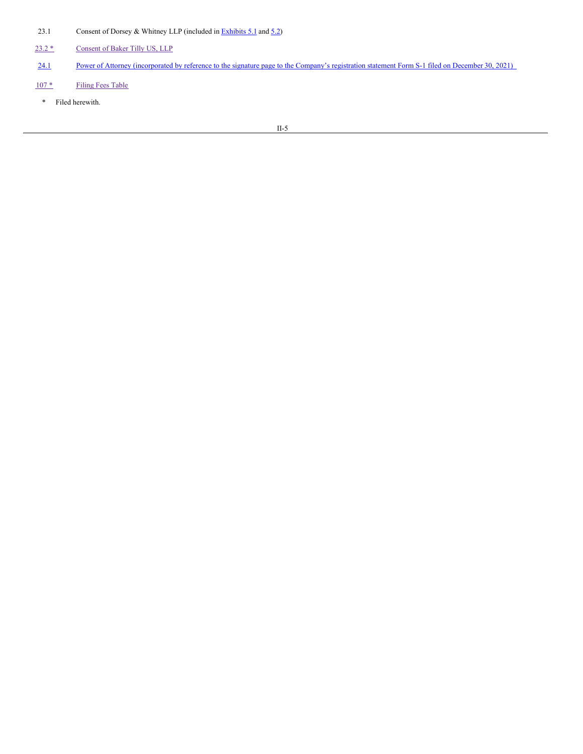- 23.1 Consent of Dorsey & Whitney LLP (included in **[Exhibits](http://www.sec.gov/Archives/edgar/data/1798270/000110465920140598/tm2037695d2_ex5-1.htm) 5.1** and [5.2](http://www.sec.gov/Archives/edgar/data/1798270/000110465921154682/ionm-20211220xex5d1.htm))
- [23.2](#page-22-0) \* [Consent](#page-22-0) of Baker Tilly US, LLP
- [24.1](https://www.sec.gov/Archives/edgar/data/1798270/000110465920140598/tm2037695-1_s1.htm) Power of Attorney [\(incorporated](https://www.sec.gov/Archives/edgar/data/1798270/000110465920140598/tm2037695-1_s1.htm) by reference to the signature page to the Company's registration statement Form S-1 filed on December 30, 2021)
- [107](#page-23-0) \* [Filing](#page-23-0) Fees Table
- \* Filed herewith.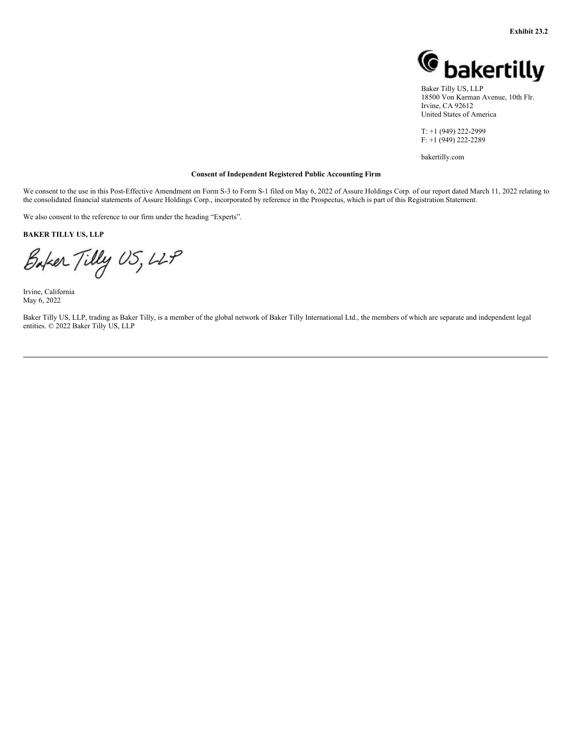

Baker Tilly US, LLP 18500 Von Karman Avenue, 10th Flr. Irvine, CA 92612 United States of America

T: +1 (949) 222-2999 F: +1 (949) 222-2289

bakertilly.com

## **Consent of Independent Registered Public Accounting Firm**

<span id="page-22-0"></span>We consent to the use in this Post-Effective Amendment on Form S-3 to Form S-1 filed on May 6, 2022 of Assure Holdings Corp. of our report dated March 11, 2022 relating to the consolidated financial statements of Assure Holdings Corp., incorporated by reference in the Prospectus, which is part of this Registration Statement.

We also consent to the reference to our firm under the heading "Experts".

**BAKER TILLY US, LLP**

Baker Tilly US, LLP

Irvine, California May 6, 2022

Baker Tilly US, LLP, trading as Baker Tilly, is a member of the global network of Baker Tilly International Ltd., the members of which are separate and independent legal entities. © 2022 Baker Tilly US, LLP